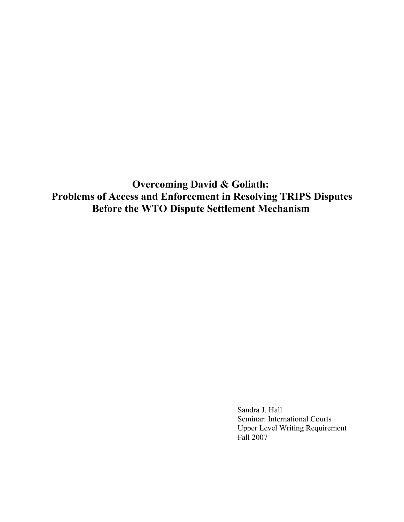**Overcoming David & Goliath: Problems of Access and Enforcement in Resolving TRIPS Disputes Before the WTO Dispute Settlement Mechanism**

> Sandra J. Hall Seminar: International Courts Upper Level Writing Requirement Fall 2007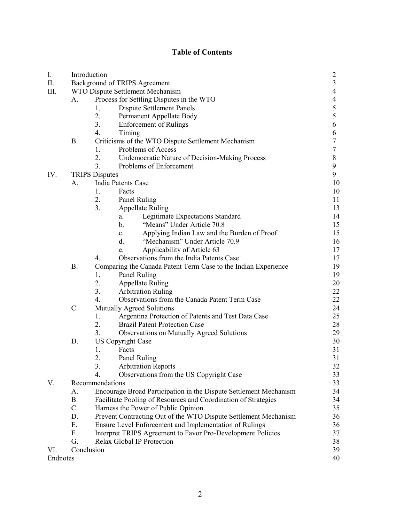# **Table of Contents**

| I.       |                                  | Introduction                                                         | $\overline{c}$           |
|----------|----------------------------------|----------------------------------------------------------------------|--------------------------|
| II.      |                                  | Background of TRIPS Agreement                                        | $\overline{\mathbf{3}}$  |
| III.     | WTO Dispute Settlement Mechanism |                                                                      | 4                        |
|          | A.                               | Process for Settling Disputes in the WTO                             | $\overline{\mathcal{A}}$ |
|          |                                  | <b>Dispute Settlement Panels</b><br>1.                               | 5                        |
|          |                                  | 2.<br>Permanent Appellate Body                                       | 5                        |
|          |                                  | 3.<br><b>Enforcement of Rulings</b>                                  | 6                        |
|          |                                  | 4.<br>Timing                                                         | 6                        |
|          | Β.                               | Criticisms of the WTO Dispute Settlement Mechanism                   | 7                        |
|          |                                  | 1.<br>Problems of Access                                             | 7                        |
|          |                                  | 2.<br><b>Undemocratic Nature of Decision-Making Process</b>          | $\,$ $\,$                |
|          |                                  | 3.<br>Problems of Enforcement                                        | $\boldsymbol{9}$         |
| IV.      |                                  | <b>TRIPS Disputes</b>                                                | 9                        |
|          | A.                               | <b>India Patents Case</b>                                            | 10                       |
|          |                                  | 1.<br>Facts                                                          | 10                       |
|          |                                  | 2.<br>Panel Ruling                                                   | 11                       |
|          |                                  | 3.<br><b>Appellate Ruling</b>                                        | 13                       |
|          |                                  | Legitimate Expectations Standard<br>a.                               | 14                       |
|          |                                  | "Means" Under Article 70.8<br>b.                                     | 15                       |
|          |                                  | Applying Indian Law and the Burden of Proof<br>$c_{\cdot}$           | 15                       |
|          |                                  | d.<br>"Mechanism" Under Article 70.9                                 | 16                       |
|          |                                  | Applicability of Article 63<br>e.                                    | 17                       |
|          |                                  | Observations from the India Patents Case<br>4.                       | 17                       |
|          | <b>B.</b>                        |                                                                      | 19                       |
|          |                                  | Comparing the Canada Patent Term Case to the Indian Experience<br>1. | 19                       |
|          |                                  | Panel Ruling<br>2.                                                   | 20                       |
|          |                                  | <b>Appellate Ruling</b>                                              |                          |
|          |                                  | 3.<br><b>Arbitration Ruling</b><br>$\overline{4}$ .                  | 22                       |
|          |                                  | Observations from the Canada Patent Term Case                        | 22                       |
|          | $C$ .                            | Mutually Agreed Solutions                                            | 24                       |
|          |                                  | 1.<br>Argentina Protection of Patents and Test Data Case             | 25                       |
|          |                                  | 2.<br><b>Brazil Patent Protection Case</b>                           | 28                       |
|          |                                  | 3.<br>Observations on Mutually Agreed Solutions                      | 29                       |
|          | D.                               | <b>US Copyright Case</b>                                             | 30                       |
|          |                                  | 1.<br>Facts                                                          | 31                       |
|          |                                  | 2.<br>Panel Ruling                                                   | 31                       |
|          |                                  | 3.<br><b>Arbitration Reports</b>                                     | 32                       |
|          |                                  | Observations from the US Copyright Case<br>4.                        | 33                       |
| V.       | Recommendations                  |                                                                      | 33                       |
|          | A.                               | Encourage Broad Participation in the Dispute Settlement Mechanism    | 34                       |
|          | Β.                               | Facilitate Pooling of Resources and Coordination of Strategies       | 34                       |
|          | C.                               | Harness the Power of Public Opinion                                  | 35                       |
|          | D.                               | Prevent Contracting Out of the WTO Dispute Settlement Mechanism      | 36                       |
|          | Ε.                               | Ensure Level Enforcement and Implementation of Rulings               | 36                       |
|          | F.                               | Interpret TRIPS Agreement to Favor Pro-Development Policies          | 37                       |
|          | G.                               | Relax Global IP Protection                                           | 38                       |
| VI.      |                                  | Conclusion                                                           | 39                       |
| Endnotes |                                  |                                                                      | 40                       |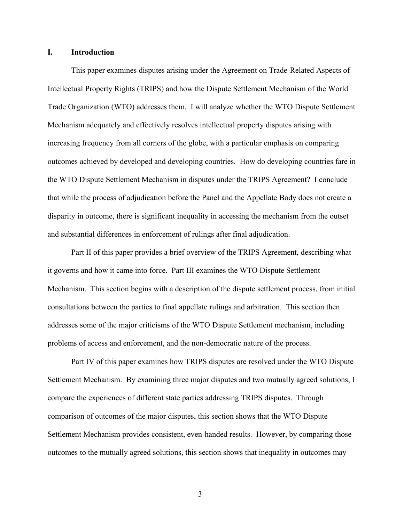# **I. Introduction**

This paper examines disputes arising under the Agreement on Trade-Related Aspects of Intellectual Property Rights (TRIPS) and how the Dispute Settlement Mechanism of the World Trade Organization (WTO) addresses them. I will analyze whether the WTO Dispute Settlement Mechanism adequately and effectively resolves intellectual property disputes arising with increasing frequency from all corners of the globe, with a particular emphasis on comparing outcomes achieved by developed and developing countries. How do developing countries fare in the WTO Dispute Settlement Mechanism in disputes under the TRIPS Agreement? I conclude that while the process of adjudication before the Panel and the Appellate Body does not create a disparity in outcome, there is significant inequality in accessing the mechanism from the outset and substantial differences in enforcement of rulings after final adjudication.

Part II of this paper provides a brief overview of the TRIPS Agreement, describing what it governs and how it came into force. Part III examines the WTO Dispute Settlement Mechanism. This section begins with a description of the dispute settlement process, from initial consultations between the parties to final appellate rulings and arbitration. This section then addresses some of the major criticisms of the WTO Dispute Settlement mechanism, including problems of access and enforcement, and the non-democratic nature of the process.

Part IV of this paper examines how TRIPS disputes are resolved under the WTO Dispute Settlement Mechanism. By examining three major disputes and two mutually agreed solutions, I compare the experiences of different state parties addressing TRIPS disputes. Through comparison of outcomes of the major disputes, this section shows that the WTO Dispute Settlement Mechanism provides consistent, even-handed results. However, by comparing those outcomes to the mutually agreed solutions, this section shows that inequality in outcomes may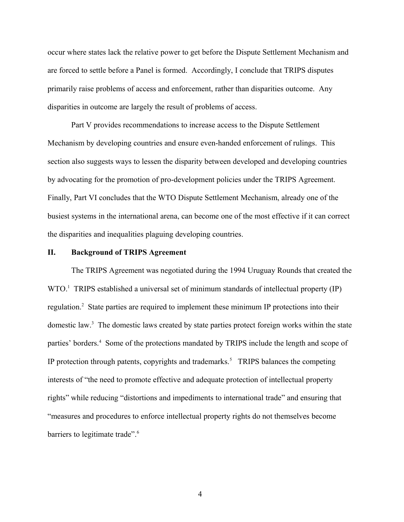occur where states lack the relative power to get before the Dispute Settlement Mechanism and are forced to settle before a Panel is formed. Accordingly, I conclude that TRIPS disputes primarily raise problems of access and enforcement, rather than disparities outcome. Any disparities in outcome are largely the result of problems of access.

Part V provides recommendations to increase access to the Dispute Settlement Mechanism by developing countries and ensure even-handed enforcement of rulings. This section also suggests ways to lessen the disparity between developed and developing countries by advocating for the promotion of pro-development policies under the TRIPS Agreement. Finally, Part VI concludes that the WTO Dispute Settlement Mechanism, already one of the busiest systems in the international arena, can become one of the most effective if it can correct the disparities and inequalities plaguing developing countries.

#### **II. Background of TRIPS Agreement**

The TRIPS Agreement was negotiated during the 1994 Uruguay Rounds that created the  $WTO<sup>1</sup>$  $WTO<sup>1</sup>$  $WTO<sup>1</sup>$  TRIPS established a universal set of minimum standards of intellectual property (IP) regulation.<sup>[2](#page-41-1)</sup> State parties are required to implement these minimum IP protections into their domestic law.<sup>[3](#page-41-2)</sup> The domestic laws created by state parties protect foreign works within the state parties' borders.<sup>[4](#page-41-3)</sup> Some of the protections mandated by TRIPS include the length and scope of IP protection through patents, copyrights and trademarks.<sup>[5](#page-41-4)</sup> TRIPS balances the competing interests of "the need to promote effective and adequate protection of intellectual property rights" while reducing "distortions and impediments to international trade" and ensuring that "measures and procedures to enforce intellectual property rights do not themselves become barriers to legitimate trade".<sup>[6](#page-41-5)</sup>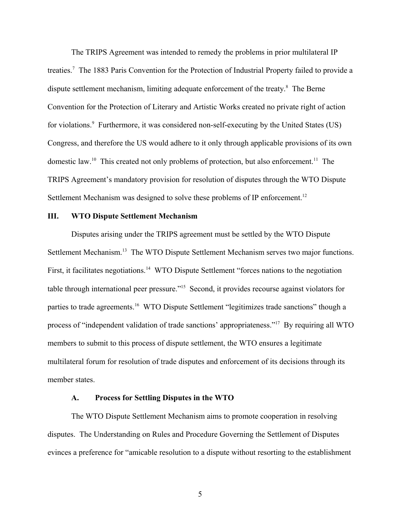The TRIPS Agreement was intended to remedy the problems in prior multilateral IP treaties.<sup>[7](#page-41-6)</sup> The 1883 Paris Convention for the Protection of Industrial Property failed to provide a dispute settlement mechanism, limiting adequate enforcement of the treaty.<sup>[8](#page-41-7)</sup> The Berne Convention for the Protection of Literary and Artistic Works created no private right of action for violations.<sup>[9](#page-41-8)</sup> Furthermore, it was considered non-self-executing by the United States (US) Congress, and therefore the US would adhere to it only through applicable provisions of its own domestic law.<sup>[10](#page-41-9)</sup> This created not only problems of protection, but also enforcement.<sup>[11](#page-41-10)</sup> The TRIPS Agreement's mandatory provision for resolution of disputes through the WTO Dispute Settlement Mechanism was designed to solve these problems of IP enforcement.<sup>[12](#page-41-11)</sup>

#### **III. WTO Dispute Settlement Mechanism**

Disputes arising under the TRIPS agreement must be settled by the WTO Dispute Settlement Mechanism.<sup>[13](#page-41-12)</sup> The WTO Dispute Settlement Mechanism serves two major functions. First, it facilitates negotiations.<sup>[14](#page-41-13)</sup> WTO Dispute Settlement "forces nations to the negotiation table through international peer pressure."[15](#page-41-14) Second, it provides recourse against violators for parties to trade agreements.<sup>[16](#page-41-15)</sup> WTO Dispute Settlement "legitimizes trade sanctions" though a process of "independent validation of trade sanctions' appropriateness."<sup>[17](#page-41-16)</sup> By requiring all WTO members to submit to this process of dispute settlement, the WTO ensures a legitimate multilateral forum for resolution of trade disputes and enforcement of its decisions through its member states.

### **A. Process for Settling Disputes in the WTO**

The WTO Dispute Settlement Mechanism aims to promote cooperation in resolving disputes. The Understanding on Rules and Procedure Governing the Settlement of Disputes evinces a preference for "amicable resolution to a dispute without resorting to the establishment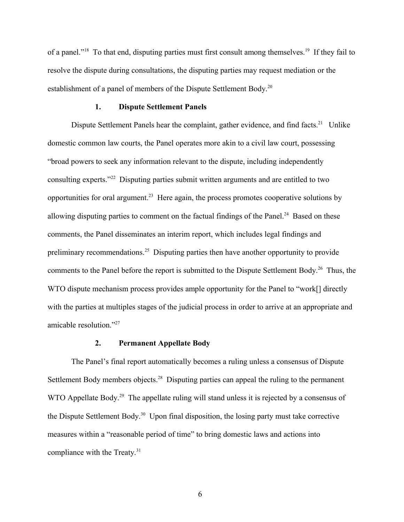of a panel."<sup>[18](#page-41-17)</sup> To that end, disputing parties must first consult among themselves.<sup>[19](#page-41-18)</sup> If they fail to resolve the dispute during consultations, the disputing parties may request mediation or the establishment of a panel of members of the Dispute Settlement Body.<sup>[20](#page-41-19)</sup>

#### **1. Dispute Settlement Panels**

Dispute Settlement Panels hear the complaint, gather evidence, and find facts.<sup>[21](#page-41-20)</sup> Unlike domestic common law courts, the Panel operates more akin to a civil law court, possessing "broad powers to seek any information relevant to the dispute, including independently consulting experts."[22](#page-41-21) Disputing parties submit written arguments and are entitled to two opportunities for oral argument.<sup>[23](#page-41-22)</sup> Here again, the process promotes cooperative solutions by allowing disputing parties to comment on the factual findings of the Panel.<sup>[24](#page-41-23)</sup> Based on these comments, the Panel disseminates an interim report, which includes legal findings and preliminary recommendations.<sup>[25](#page-41-24)</sup> Disputing parties then have another opportunity to provide comments to the Panel before the report is submitted to the Dispute Settlement Body.<sup>[26](#page-41-25)</sup> Thus, the WTO dispute mechanism process provides ample opportunity for the Panel to "work[] directly with the parties at multiples stages of the judicial process in order to arrive at an appropriate and amicable resolution."[27](#page-41-26)

### **2. Permanent Appellate Body**

The Panel's final report automatically becomes a ruling unless a consensus of Dispute Settlement Body members objects.<sup>[28](#page-41-27)</sup> Disputing parties can appeal the ruling to the permanent WTO Appellate Body.<sup>[29](#page-41-28)</sup> The appellate ruling will stand unless it is rejected by a consensus of the Dispute Settlement Body.<sup>[30](#page-41-29)</sup> Upon final disposition, the losing party must take corrective measures within a "reasonable period of time" to bring domestic laws and actions into compliance with the Treaty.<sup>[31](#page-41-30)</sup>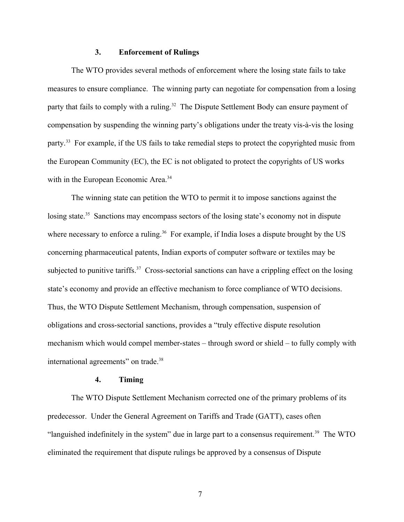### **3. Enforcement of Rulings**

The WTO provides several methods of enforcement where the losing state fails to take measures to ensure compliance. The winning party can negotiate for compensation from a losing party that fails to comply with a ruling.<sup>[32](#page-41-31)</sup> The Dispute Settlement Body can ensure payment of compensation by suspending the winning party's obligations under the treaty vis-à-vis the losing party.<sup>[33](#page-41-32)</sup> For example, if the US fails to take remedial steps to protect the copyrighted music from the European Community (EC), the EC is not obligated to protect the copyrights of US works with in the European Economic Area.<sup>[34](#page-41-33)</sup>

The winning state can petition the WTO to permit it to impose sanctions against the losing state.<sup>[35](#page-41-34)</sup> Sanctions may encompass sectors of the losing state's economy not in dispute where necessary to enforce a ruling.<sup>[36](#page-41-35)</sup> For example, if India loses a dispute brought by the US concerning pharmaceutical patents, Indian exports of computer software or textiles may be subjected to punitive tariffs.<sup>[37](#page-41-36)</sup> Cross-sectorial sanctions can have a crippling effect on the losing state's economy and provide an effective mechanism to force compliance of WTO decisions. Thus, the WTO Dispute Settlement Mechanism, through compensation, suspension of obligations and cross-sectorial sanctions, provides a "truly effective dispute resolution mechanism which would compel member-states – through sword or shield – to fully comply with international agreements" on trade.<sup>[38](#page-41-37)</sup>

#### **4. Timing**

The WTO Dispute Settlement Mechanism corrected one of the primary problems of its predecessor. Under the General Agreement on Tariffs and Trade (GATT), cases often "languished indefinitely in the system" due in large part to a consensus requirement.<sup>[39](#page-41-38)</sup> The WTO eliminated the requirement that dispute rulings be approved by a consensus of Dispute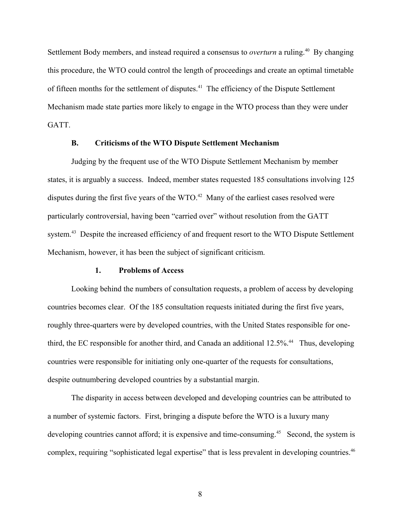Settlement Body members, and instead required a consensus to *overturn* a ruling.<sup>[40](#page-42-0)</sup> By changing this procedure, the WTO could control the length of proceedings and create an optimal timetable of fifteen months for the settlement of disputes.<sup>[41](#page-42-1)</sup> The efficiency of the Dispute Settlement Mechanism made state parties more likely to engage in the WTO process than they were under GATT.

#### **B. Criticisms of the WTO Dispute Settlement Mechanism**

Judging by the frequent use of the WTO Dispute Settlement Mechanism by member states, it is arguably a success. Indeed, member states requested 185 consultations involving 125 disputes during the first five years of the WTO.<sup>[42](#page-42-2)</sup> Many of the earliest cases resolved were particularly controversial, having been "carried over" without resolution from the GATT system.<sup>[43](#page-42-3)</sup> Despite the increased efficiency of and frequent resort to the WTO Dispute Settlement Mechanism, however, it has been the subject of significant criticism.

### **1. Problems of Access**

Looking behind the numbers of consultation requests, a problem of access by developing countries becomes clear. Of the 185 consultation requests initiated during the first five years, roughly three-quarters were by developed countries, with the United States responsible for one-third, the EC responsible for another third, and Canada an additional 12.5%.<sup>[44](#page-42-4)</sup> Thus, developing countries were responsible for initiating only one-quarter of the requests for consultations, despite outnumbering developed countries by a substantial margin.

The disparity in access between developed and developing countries can be attributed to a number of systemic factors. First, bringing a dispute before the WTO is a luxury many developing countries cannot afford; it is expensive and time-consuming.<sup>[45](#page-42-5)</sup> Second, the system is complex, requiring "sophisticated legal expertise" that is less prevalent in developing countries.<sup>[46](#page-42-6)</sup>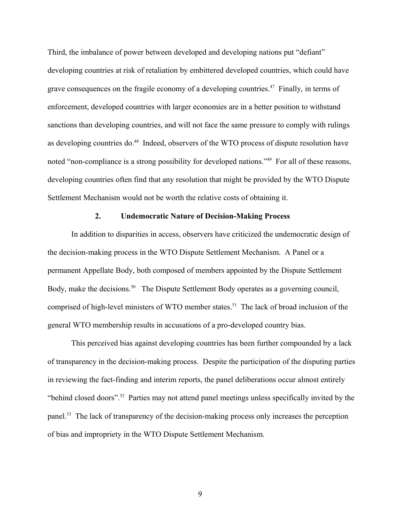Third, the imbalance of power between developed and developing nations put "defiant" developing countries at risk of retaliation by embittered developed countries, which could have grave consequences on the fragile economy of a developing countries.<sup>[47](#page-42-7)</sup> Finally, in terms of enforcement, developed countries with larger economies are in a better position to withstand sanctions than developing countries, and will not face the same pressure to comply with rulings as developing countries do.<sup>[48](#page-42-8)</sup> Indeed, observers of the WTO process of dispute resolution have noted "non-compliance is a strong possibility for developed nations."<sup>[49](#page-42-9)</sup> For all of these reasons, developing countries often find that any resolution that might be provided by the WTO Dispute Settlement Mechanism would not be worth the relative costs of obtaining it.

# **2. Undemocratic Nature of Decision-Making Process**

In addition to disparities in access, observers have criticized the undemocratic design of the decision-making process in the WTO Dispute Settlement Mechanism. A Panel or a permanent Appellate Body, both composed of members appointed by the Dispute Settlement Body, make the decisions.<sup>[50](#page-42-10)</sup> The Dispute Settlement Body operates as a governing council, comprised of high-level ministers of WTO member states.<sup>[51](#page-42-11)</sup> The lack of broad inclusion of the general WTO membership results in accusations of a pro-developed country bias.

This perceived bias against developing countries has been further compounded by a lack of transparency in the decision-making process. Despite the participation of the disputing parties in reviewing the fact-finding and interim reports, the panel deliberations occur almost entirely "behind closed doors".<sup>[52](#page-42-12)</sup> Parties may not attend panel meetings unless specifically invited by the panel.<sup>[53](#page-42-13)</sup> The lack of transparency of the decision-making process only increases the perception of bias and impropriety in the WTO Dispute Settlement Mechanism.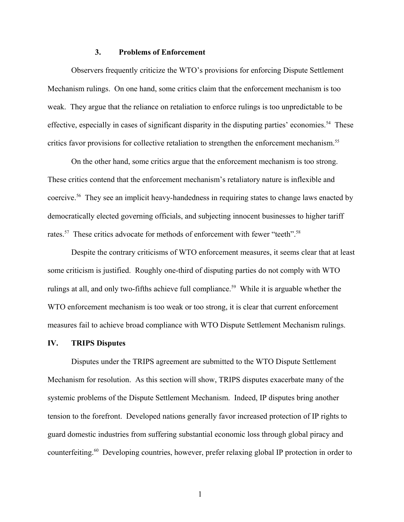### **3. Problems of Enforcement**

Observers frequently criticize the WTO's provisions for enforcing Dispute Settlement Mechanism rulings. On one hand, some critics claim that the enforcement mechanism is too weak. They argue that the reliance on retaliation to enforce rulings is too unpredictable to be effective, especially in cases of significant disparity in the disputing parties' economies.<sup>[54](#page-42-14)</sup> These critics favor provisions for collective retaliation to strengthen the enforcement mechanism.<sup>[55](#page-42-15)</sup>

On the other hand, some critics argue that the enforcement mechanism is too strong. These critics contend that the enforcement mechanism's retaliatory nature is inflexible and coercive.<sup>[56](#page-42-16)</sup> They see an implicit heavy-handedness in requiring states to change laws enacted by democratically elected governing officials, and subjecting innocent businesses to higher tariff rates.<sup>[57](#page-42-17)</sup> These critics advocate for methods of enforcement with fewer "teeth".<sup>[58](#page-42-18)</sup>

Despite the contrary criticisms of WTO enforcement measures, it seems clear that at least some criticism is justified. Roughly one-third of disputing parties do not comply with WTO rulings at all, and only two-fifths achieve full compliance.<sup>[59](#page-42-19)</sup> While it is arguable whether the WTO enforcement mechanism is too weak or too strong, it is clear that current enforcement measures fail to achieve broad compliance with WTO Dispute Settlement Mechanism rulings.

#### **IV. TRIPS Disputes**

Disputes under the TRIPS agreement are submitted to the WTO Dispute Settlement Mechanism for resolution. As this section will show, TRIPS disputes exacerbate many of the systemic problems of the Dispute Settlement Mechanism. Indeed, IP disputes bring another tension to the forefront. Developed nations generally favor increased protection of IP rights to guard domestic industries from suffering substantial economic loss through global piracy and counterfeiting.<sup>[60](#page-42-20)</sup> Developing countries, however, prefer relaxing global IP protection in order to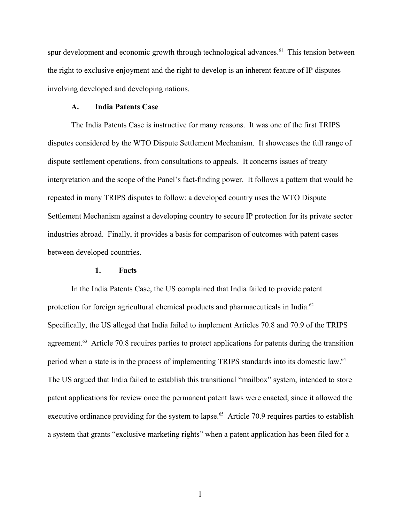spur development and economic growth through technological advances.<sup>[61](#page-42-21)</sup> This tension between the right to exclusive enjoyment and the right to develop is an inherent feature of IP disputes involving developed and developing nations.

#### **A. India Patents Case**

The India Patents Case is instructive for many reasons. It was one of the first TRIPS disputes considered by the WTO Dispute Settlement Mechanism. It showcases the full range of dispute settlement operations, from consultations to appeals. It concerns issues of treaty interpretation and the scope of the Panel's fact-finding power. It follows a pattern that would be repeated in many TRIPS disputes to follow: a developed country uses the WTO Dispute Settlement Mechanism against a developing country to secure IP protection for its private sector industries abroad. Finally, it provides a basis for comparison of outcomes with patent cases between developed countries.

# **1. Facts**

In the India Patents Case, the US complained that India failed to provide patent protection for foreign agricultural chemical products and pharmaceuticals in India.<sup>[62](#page-42-22)</sup> Specifically, the US alleged that India failed to implement Articles 70.8 and 70.9 of the TRIPS agreement.<sup>[63](#page-42-23)</sup> Article 70.8 requires parties to protect applications for patents during the transition period when a state is in the process of implementing TRIPS standards into its domestic law.<sup>[64](#page-42-24)</sup> The US argued that India failed to establish this transitional "mailbox" system, intended to store patent applications for review once the permanent patent laws were enacted, since it allowed the executive ordinance providing for the system to lapse.<sup>[65](#page-42-25)</sup> Article 70.9 requires parties to establish a system that grants "exclusive marketing rights" when a patent application has been filed for a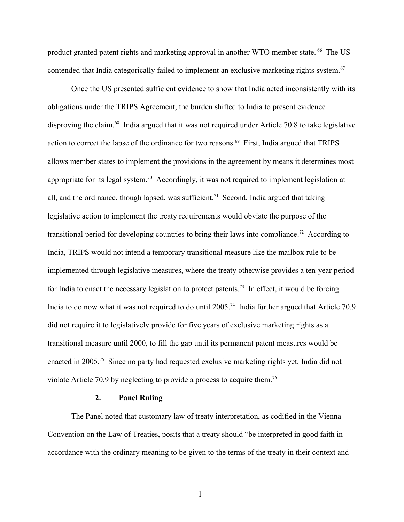product granted patent rights and marketing approval in another WTO member state. **[66](#page-42-26)** The US contended that India categorically failed to implement an exclusive marketing rights system.<sup>[67](#page-42-27)</sup>

Once the US presented sufficient evidence to show that India acted inconsistently with its obligations under the TRIPS Agreement, the burden shifted to India to present evidence disproving the claim.<sup>[68](#page-42-28)</sup> India argued that it was not required under Article 70.8 to take legislative action to correct the lapse of the ordinance for two reasons.<sup>[69](#page-42-29)</sup> First, India argued that TRIPS allows member states to implement the provisions in the agreement by means it determines most appropriate for its legal system.[70](#page-42-30) Accordingly, it was not required to implement legislation at all, and the ordinance, though lapsed, was sufficient.<sup>[71](#page-42-31)</sup> Second, India argued that taking legislative action to implement the treaty requirements would obviate the purpose of the transitional period for developing countries to bring their laws into compliance.<sup>[72](#page-42-32)</sup> According to India, TRIPS would not intend a temporary transitional measure like the mailbox rule to be implemented through legislative measures, where the treaty otherwise provides a ten-year period for India to enact the necessary legislation to protect patents.<sup>[73](#page-42-33)</sup> In effect, it would be forcing India to do now what it was not required to do until 2005.<sup>[74](#page-42-34)</sup> India further argued that Article 70.9 did not require it to legislatively provide for five years of exclusive marketing rights as a transitional measure until 2000, to fill the gap until its permanent patent measures would be enacted in 2005.<sup>[75](#page-42-35)</sup> Since no party had requested exclusive marketing rights yet, India did not violate Article 70.9 by neglecting to provide a process to acquire them.<sup>[76](#page-42-36)</sup>

#### **2. Panel Ruling**

The Panel noted that customary law of treaty interpretation, as codified in the Vienna Convention on the Law of Treaties, posits that a treaty should "be interpreted in good faith in accordance with the ordinary meaning to be given to the terms of the treaty in their context and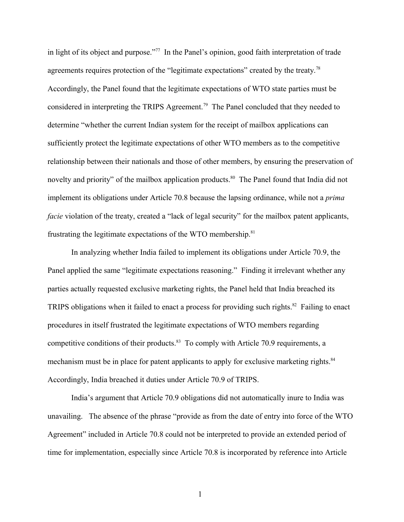in light of its object and purpose."<sup>[77](#page-43-0)</sup> In the Panel's opinion, good faith interpretation of trade agreements requires protection of the "legitimate expectations" created by the treaty.<sup>[78](#page-43-1)</sup> Accordingly, the Panel found that the legitimate expectations of WTO state parties must be considered in interpreting the TRIPS Agreement.<sup>[79](#page-43-2)</sup> The Panel concluded that they needed to determine "whether the current Indian system for the receipt of mailbox applications can sufficiently protect the legitimate expectations of other WTO members as to the competitive relationship between their nationals and those of other members, by ensuring the preservation of novelty and priority" of the mailbox application products.<sup>[80](#page-43-3)</sup> The Panel found that India did not implement its obligations under Article 70.8 because the lapsing ordinance, while not a *prima facie* violation of the treaty, created a "lack of legal security" for the mailbox patent applicants, frustrating the legitimate expectations of the WTO membership.<sup>[81](#page-43-4)</sup>

In analyzing whether India failed to implement its obligations under Article 70.9, the Panel applied the same "legitimate expectations reasoning." Finding it irrelevant whether any parties actually requested exclusive marketing rights, the Panel held that India breached its TRIPS obligations when it failed to enact a process for providing such rights.<sup>[82](#page-43-5)</sup> Failing to enact procedures in itself frustrated the legitimate expectations of WTO members regarding competitive conditions of their products.<sup>[83](#page-43-6)</sup> To comply with Article 70.9 requirements, a mechanism must be in place for patent applicants to apply for exclusive marketing rights.<sup>[84](#page-43-7)</sup> Accordingly, India breached it duties under Article 70.9 of TRIPS.

India's argument that Article 70.9 obligations did not automatically inure to India was unavailing. The absence of the phrase "provide as from the date of entry into force of the WTO Agreement" included in Article 70.8 could not be interpreted to provide an extended period of time for implementation, especially since Article 70.8 is incorporated by reference into Article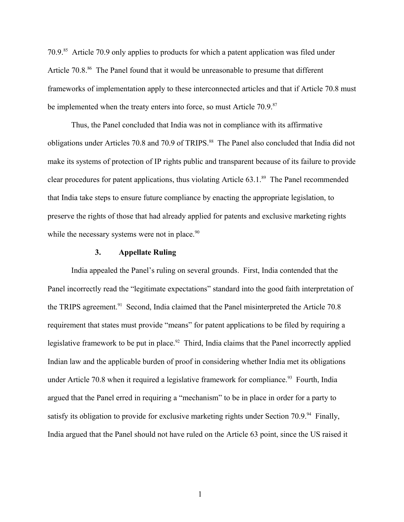70.9.[85](#page-43-8) Article 70.9 only applies to products for which a patent application was filed under Article 70.8.<sup>[86](#page-43-9)</sup> The Panel found that it would be unreasonable to presume that different frameworks of implementation apply to these interconnected articles and that if Article 70.8 must be implemented when the treaty enters into force, so must Article 70.9.<sup>[87](#page-43-10)</sup>

Thus, the Panel concluded that India was not in compliance with its affirmative obligations under Articles 70.8 and 70.9 of TRIPS.<sup>[88](#page-43-11)</sup> The Panel also concluded that India did not make its systems of protection of IP rights public and transparent because of its failure to provide clear procedures for patent applications, thus violating Article 63.1.[89](#page-43-12) The Panel recommended that India take steps to ensure future compliance by enacting the appropriate legislation, to preserve the rights of those that had already applied for patents and exclusive marketing rights while the necessary systems were not in place. $90$ 

### **3. Appellate Ruling**

India appealed the Panel's ruling on several grounds. First, India contended that the Panel incorrectly read the "legitimate expectations" standard into the good faith interpretation of the TRIPS agreement.<sup>[91](#page-43-14)</sup> Second, India claimed that the Panel misinterpreted the Article 70.8 requirement that states must provide "means" for patent applications to be filed by requiring a legislative framework to be put in place.<sup>[92](#page-43-15)</sup> Third, India claims that the Panel incorrectly applied Indian law and the applicable burden of proof in considering whether India met its obligations under Article 70.8 when it required a legislative framework for compliance.<sup>[93](#page-43-16)</sup> Fourth, India argued that the Panel erred in requiring a "mechanism" to be in place in order for a party to satisfy its obligation to provide for exclusive marketing rights under Section 70.9. $94$  Finally, India argued that the Panel should not have ruled on the Article 63 point, since the US raised it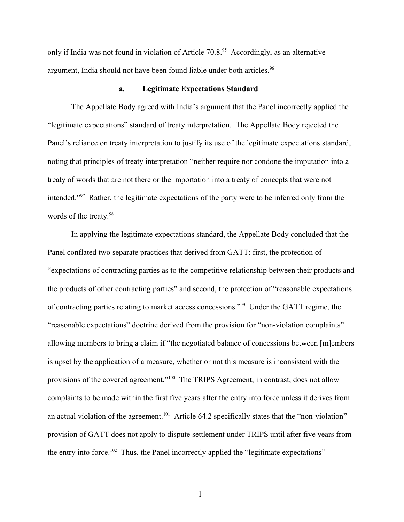only if India was not found in violation of Article  $70.8<sup>95</sup>$  $70.8<sup>95</sup>$  $70.8<sup>95</sup>$  Accordingly, as an alternative argument, India should not have been found liable under both articles.<sup>[96](#page-43-19)</sup>

#### **a. Legitimate Expectations Standard**

The Appellate Body agreed with India's argument that the Panel incorrectly applied the "legitimate expectations" standard of treaty interpretation. The Appellate Body rejected the Panel's reliance on treaty interpretation to justify its use of the legitimate expectations standard, noting that principles of treaty interpretation "neither require nor condone the imputation into a treaty of words that are not there or the importation into a treaty of concepts that were not intended."[97](#page-43-20) Rather, the legitimate expectations of the party were to be inferred only from the words of the treaty.<sup>[98](#page-43-21)</sup>

In applying the legitimate expectations standard, the Appellate Body concluded that the Panel conflated two separate practices that derived from GATT: first, the protection of "expectations of contracting parties as to the competitive relationship between their products and the products of other contracting parties" and second, the protection of "reasonable expectations of contracting parties relating to market access concessions."[99](#page-43-22) Under the GATT regime, the "reasonable expectations" doctrine derived from the provision for "non-violation complaints" allowing members to bring a claim if "the negotiated balance of concessions between [m]embers is upset by the application of a measure, whether or not this measure is inconsistent with the provisions of the covered agreement."<sup>[100](#page-43-23)</sup> The TRIPS Agreement, in contrast, does not allow complaints to be made within the first five years after the entry into force unless it derives from an actual violation of the agreement.<sup>[101](#page-43-24)</sup> Article 64.2 specifically states that the "non-violation" provision of GATT does not apply to dispute settlement under TRIPS until after five years from the entry into force.<sup>[102](#page-43-25)</sup> Thus, the Panel incorrectly applied the "legitimate expectations"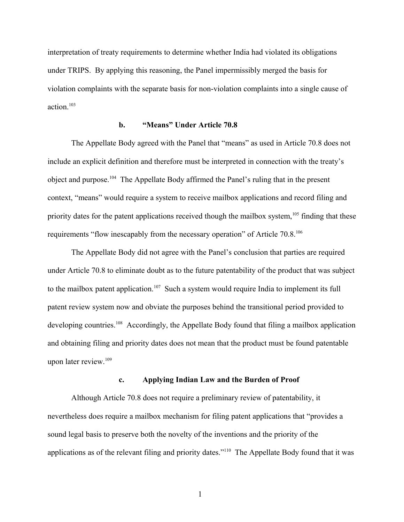interpretation of treaty requirements to determine whether India had violated its obligations under TRIPS. By applying this reasoning, the Panel impermissibly merged the basis for violation complaints with the separate basis for non-violation complaints into a single cause of action.<sup>[103](#page-43-26)</sup>

# **b. "Means" Under Article 70.8**

The Appellate Body agreed with the Panel that "means" as used in Article 70.8 does not include an explicit definition and therefore must be interpreted in connection with the treaty's object and purpose.[104](#page-43-27) The Appellate Body affirmed the Panel's ruling that in the present context, "means" would require a system to receive mailbox applications and record filing and priority dates for the patent applications received though the mailbox system,<sup>[105](#page-43-28)</sup> finding that these requirements "flow inescapably from the necessary operation" of Article 70.8.<sup>[106](#page-43-29)</sup>

The Appellate Body did not agree with the Panel's conclusion that parties are required under Article 70.8 to eliminate doubt as to the future patentability of the product that was subject to the mailbox patent application.<sup>[107](#page-43-30)</sup> Such a system would require India to implement its full patent review system now and obviate the purposes behind the transitional period provided to developing countries.<sup>[108](#page-43-31)</sup> Accordingly, the Appellate Body found that filing a mailbox application and obtaining filing and priority dates does not mean that the product must be found patentable upon later review.[109](#page-43-32)

#### **c. Applying Indian Law and the Burden of Proof**

Although Article 70.8 does not require a preliminary review of patentability, it nevertheless does require a mailbox mechanism for filing patent applications that "provides a sound legal basis to preserve both the novelty of the inventions and the priority of the applications as of the relevant filing and priority dates."[110](#page-43-33) The Appellate Body found that it was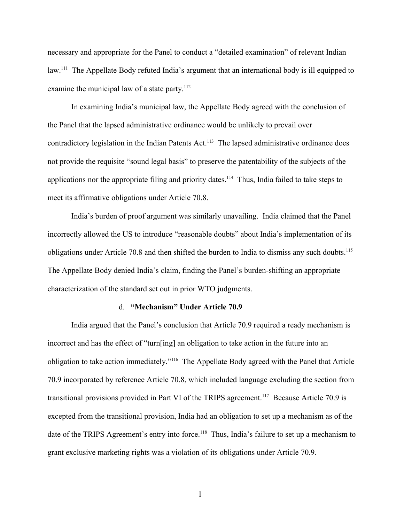necessary and appropriate for the Panel to conduct a "detailed examination" of relevant Indian law.[111](#page-43-34) The Appellate Body refuted India's argument that an international body is ill equipped to examine the municipal law of a state party.<sup>[112](#page-43-35)</sup>

In examining India's municipal law, the Appellate Body agreed with the conclusion of the Panel that the lapsed administrative ordinance would be unlikely to prevail over contradictory legislation in the Indian Patents Act.<sup>[113](#page-43-36)</sup> The lapsed administrative ordinance does not provide the requisite "sound legal basis" to preserve the patentability of the subjects of the applications nor the appropriate filing and priority dates.<sup>[114](#page-43-37)</sup> Thus, India failed to take steps to meet its affirmative obligations under Article 70.8.

India's burden of proof argument was similarly unavailing. India claimed that the Panel incorrectly allowed the US to introduce "reasonable doubts" about India's implementation of its obligations under Article 70.8 and then shifted the burden to India to dismiss any such doubts.<sup>[115](#page-43-38)</sup> The Appellate Body denied India's claim, finding the Panel's burden-shifting an appropriate characterization of the standard set out in prior WTO judgments.

#### d. **"Mechanism" Under Article 70.9**

India argued that the Panel's conclusion that Article 70.9 required a ready mechanism is incorrect and has the effect of "turn[ing] an obligation to take action in the future into an obligation to take action immediately."[116](#page-43-39) The Appellate Body agreed with the Panel that Article 70.9 incorporated by reference Article 70.8, which included language excluding the section from transitional provisions provided in Part VI of the TRIPS agreement.<sup>[117](#page-43-40)</sup> Because Article 70.9 is excepted from the transitional provision, India had an obligation to set up a mechanism as of the date of the TRIPS Agreement's entry into force.<sup>[118](#page-43-41)</sup> Thus, India's failure to set up a mechanism to grant exclusive marketing rights was a violation of its obligations under Article 70.9.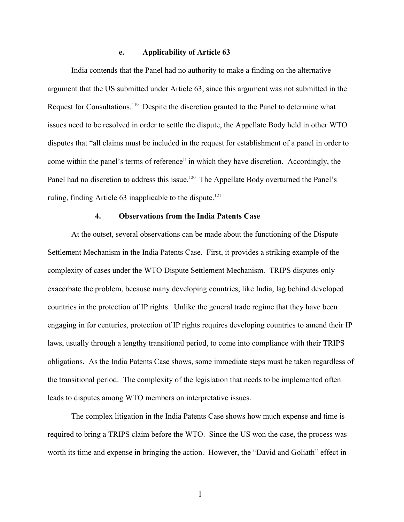### **e. Applicability of Article 63**

India contends that the Panel had no authority to make a finding on the alternative argument that the US submitted under Article 63, since this argument was not submitted in the Request for Consultations.[119](#page-43-42) Despite the discretion granted to the Panel to determine what issues need to be resolved in order to settle the dispute, the Appellate Body held in other WTO disputes that "all claims must be included in the request for establishment of a panel in order to come within the panel's terms of reference" in which they have discretion. Accordingly, the Panel had no discretion to address this issue.<sup>[120](#page-43-43)</sup> The Appellate Body overturned the Panel's ruling, finding Article 63 inapplicable to the dispute.<sup>[121](#page-43-44)</sup>

# **4. Observations from the India Patents Case**

At the outset, several observations can be made about the functioning of the Dispute Settlement Mechanism in the India Patents Case. First, it provides a striking example of the complexity of cases under the WTO Dispute Settlement Mechanism. TRIPS disputes only exacerbate the problem, because many developing countries, like India, lag behind developed countries in the protection of IP rights. Unlike the general trade regime that they have been engaging in for centuries, protection of IP rights requires developing countries to amend their IP laws, usually through a lengthy transitional period, to come into compliance with their TRIPS obligations. As the India Patents Case shows, some immediate steps must be taken regardless of the transitional period. The complexity of the legislation that needs to be implemented often leads to disputes among WTO members on interpretative issues.

The complex litigation in the India Patents Case shows how much expense and time is required to bring a TRIPS claim before the WTO. Since the US won the case, the process was worth its time and expense in bringing the action. However, the "David and Goliath" effect in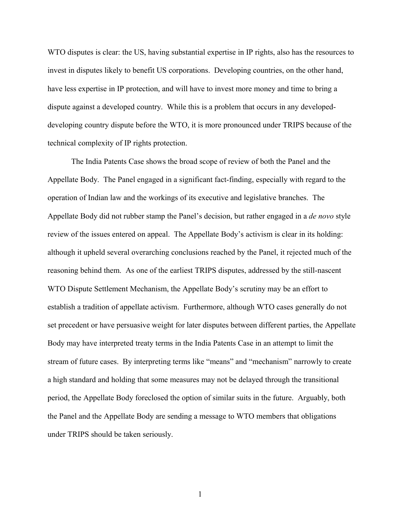WTO disputes is clear: the US, having substantial expertise in IP rights, also has the resources to invest in disputes likely to benefit US corporations. Developing countries, on the other hand, have less expertise in IP protection, and will have to invest more money and time to bring a dispute against a developed country. While this is a problem that occurs in any developeddeveloping country dispute before the WTO, it is more pronounced under TRIPS because of the technical complexity of IP rights protection.

The India Patents Case shows the broad scope of review of both the Panel and the Appellate Body. The Panel engaged in a significant fact-finding, especially with regard to the operation of Indian law and the workings of its executive and legislative branches. The Appellate Body did not rubber stamp the Panel's decision, but rather engaged in a *de novo* style review of the issues entered on appeal. The Appellate Body's activism is clear in its holding: although it upheld several overarching conclusions reached by the Panel, it rejected much of the reasoning behind them. As one of the earliest TRIPS disputes, addressed by the still-nascent WTO Dispute Settlement Mechanism, the Appellate Body's scrutiny may be an effort to establish a tradition of appellate activism. Furthermore, although WTO cases generally do not set precedent or have persuasive weight for later disputes between different parties, the Appellate Body may have interpreted treaty terms in the India Patents Case in an attempt to limit the stream of future cases. By interpreting terms like "means" and "mechanism" narrowly to create a high standard and holding that some measures may not be delayed through the transitional period, the Appellate Body foreclosed the option of similar suits in the future. Arguably, both the Panel and the Appellate Body are sending a message to WTO members that obligations under TRIPS should be taken seriously.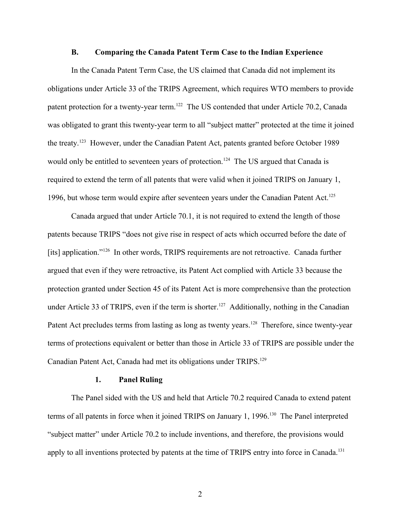#### **B. Comparing the Canada Patent Term Case to the Indian Experience**

In the Canada Patent Term Case, the US claimed that Canada did not implement its obligations under Article 33 of the TRIPS Agreement, which requires WTO members to provide patent protection for a twenty-year term.<sup>[122](#page-43-45)</sup> The US contended that under Article 70.2, Canada was obligated to grant this twenty-year term to all "subject matter" protected at the time it joined the treaty.[123](#page-43-46) However, under the Canadian Patent Act, patents granted before October 1989 would only be entitled to seventeen years of protection.<sup>[124](#page-43-47)</sup> The US argued that Canada is required to extend the term of all patents that were valid when it joined TRIPS on January 1, 1996, but whose term would expire after seventeen years under the Canadian Patent Act.<sup>[125](#page-43-48)</sup>

Canada argued that under Article 70.1, it is not required to extend the length of those patents because TRIPS "does not give rise in respect of acts which occurred before the date of [its] application."<sup>[126](#page-43-49)</sup> In other words, TRIPS requirements are not retroactive. Canada further argued that even if they were retroactive, its Patent Act complied with Article 33 because the protection granted under Section 45 of its Patent Act is more comprehensive than the protection under Article 33 of TRIPS, even if the term is shorter.<sup>[127](#page-43-50)</sup> Additionally, nothing in the Canadian Patent Act precludes terms from lasting as long as twenty years.<sup>[128](#page-43-51)</sup> Therefore, since twenty-year terms of protections equivalent or better than those in Article 33 of TRIPS are possible under the Canadian Patent Act, Canada had met its obligations under TRIPS.<sup>[129](#page-43-52)</sup>

#### **1. Panel Ruling**

The Panel sided with the US and held that Article 70.2 required Canada to extend patent terms of all patents in force when it joined TRIPS on January 1, 1996.<sup>[130](#page-44-0)</sup> The Panel interpreted "subject matter" under Article 70.2 to include inventions, and therefore, the provisions would apply to all inventions protected by patents at the time of TRIPS entry into force in Canada.<sup>[131](#page-44-1)</sup>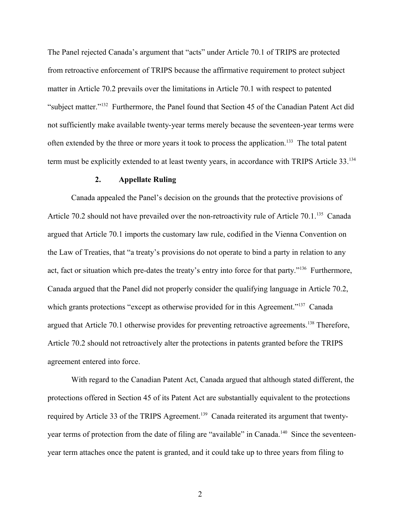The Panel rejected Canada's argument that "acts" under Article 70.1 of TRIPS are protected from retroactive enforcement of TRIPS because the affirmative requirement to protect subject matter in Article 70.2 prevails over the limitations in Article 70.1 with respect to patented "subject matter."[132](#page-44-2) Furthermore, the Panel found that Section 45 of the Canadian Patent Act did not sufficiently make available twenty-year terms merely because the seventeen-year terms were often extended by the three or more years it took to process the application.[133](#page-44-3) The total patent term must be explicitly extended to at least twenty years, in accordance with TRIPS Article 33.[134](#page-44-4)

### **2. Appellate Ruling**

Canada appealed the Panel's decision on the grounds that the protective provisions of Article 70.2 should not have prevailed over the non-retroactivity rule of Article 70.1.<sup>[135](#page-44-5)</sup> Canada argued that Article 70.1 imports the customary law rule, codified in the Vienna Convention on the Law of Treaties, that "a treaty's provisions do not operate to bind a party in relation to any act, fact or situation which pre-dates the treaty's entry into force for that party."<sup>[136](#page-44-6)</sup> Furthermore, Canada argued that the Panel did not properly consider the qualifying language in Article 70.2, which grants protections "except as otherwise provided for in this Agreement."<sup>[137](#page-44-7)</sup> Canada argued that Article 70.1 otherwise provides for preventing retroactive agreements.<sup>[138](#page-44-8)</sup> Therefore, Article 70.2 should not retroactively alter the protections in patents granted before the TRIPS agreement entered into force.

With regard to the Canadian Patent Act, Canada argued that although stated different, the protections offered in Section 45 of its Patent Act are substantially equivalent to the protections required by Article 33 of the TRIPS Agreement.<sup>[139](#page-44-9)</sup> Canada reiterated its argument that twenty-year terms of protection from the date of filing are "available" in Canada.<sup>[140](#page-44-10)</sup> Since the seventeenyear term attaches once the patent is granted, and it could take up to three years from filing to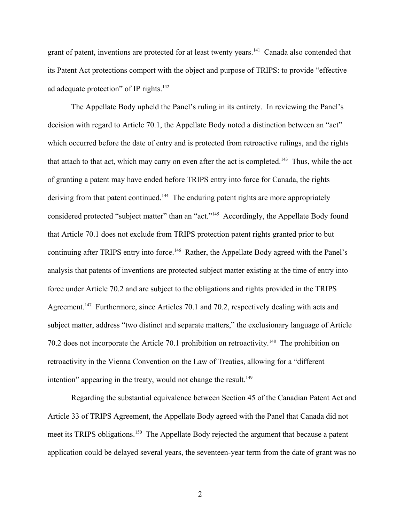grant of patent, inventions are protected for at least twenty years.<sup>[141](#page-44-11)</sup> Canada also contended that its Patent Act protections comport with the object and purpose of TRIPS: to provide "effective ad adequate protection" of IP rights. $142$ 

The Appellate Body upheld the Panel's ruling in its entirety. In reviewing the Panel's decision with regard to Article 70.1, the Appellate Body noted a distinction between an "act" which occurred before the date of entry and is protected from retroactive rulings, and the rights that attach to that act, which may carry on even after the act is completed.<sup>[143](#page-44-13)</sup> Thus, while the act of granting a patent may have ended before TRIPS entry into force for Canada, the rights deriving from that patent continued.<sup>[144](#page-44-14)</sup> The enduring patent rights are more appropriately considered protected "subject matter" than an "act."<sup>[145](#page-44-15)</sup> Accordingly, the Appellate Body found that Article 70.1 does not exclude from TRIPS protection patent rights granted prior to but continuing after TRIPS entry into force.<sup>[146](#page-44-16)</sup> Rather, the Appellate Body agreed with the Panel's analysis that patents of inventions are protected subject matter existing at the time of entry into force under Article 70.2 and are subject to the obligations and rights provided in the TRIPS Agreement.<sup>[147](#page-44-17)</sup> Furthermore, since Articles 70.1 and 70.2, respectively dealing with acts and subject matter, address "two distinct and separate matters," the exclusionary language of Article 70.2 does not incorporate the Article 70.1 prohibition on retroactivity.[148](#page-44-18) The prohibition on retroactivity in the Vienna Convention on the Law of Treaties, allowing for a "different intention" appearing in the treaty, would not change the result. $149$ 

Regarding the substantial equivalence between Section 45 of the Canadian Patent Act and Article 33 of TRIPS Agreement, the Appellate Body agreed with the Panel that Canada did not meet its TRIPS obligations.<sup>[150](#page-44-20)</sup> The Appellate Body rejected the argument that because a patent application could be delayed several years, the seventeen-year term from the date of grant was no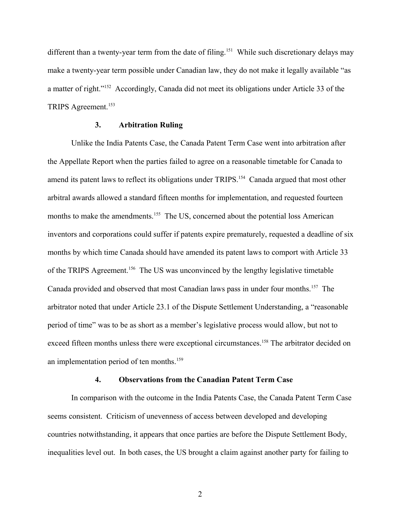different than a twenty-year term from the date of filing.<sup>[151](#page-44-21)</sup> While such discretionary delays may make a twenty-year term possible under Canadian law, they do not make it legally available "as a matter of right."[152](#page-44-22) Accordingly, Canada did not meet its obligations under Article 33 of the TRIPS Agreement.<sup>[153](#page-44-23)</sup>

# **3. Arbitration Ruling**

Unlike the India Patents Case, the Canada Patent Term Case went into arbitration after the Appellate Report when the parties failed to agree on a reasonable timetable for Canada to amend its patent laws to reflect its obligations under TRIPS.<sup>[154](#page-44-24)</sup> Canada argued that most other arbitral awards allowed a standard fifteen months for implementation, and requested fourteen months to make the amendments.<sup>[155](#page-44-25)</sup> The US, concerned about the potential loss American inventors and corporations could suffer if patents expire prematurely, requested a deadline of six months by which time Canada should have amended its patent laws to comport with Article 33 of the TRIPS Agreement.[156](#page-44-26) The US was unconvinced by the lengthy legislative timetable Canada provided and observed that most Canadian laws pass in under four months.[157](#page-44-27) The arbitrator noted that under Article 23.1 of the Dispute Settlement Understanding, a "reasonable period of time" was to be as short as a member's legislative process would allow, but not to exceed fifteen months unless there were exceptional circumstances.<sup>[158](#page-44-28)</sup> The arbitrator decided on an implementation period of ten months.<sup>[159](#page-44-29)</sup>

### **4. Observations from the Canadian Patent Term Case**

In comparison with the outcome in the India Patents Case, the Canada Patent Term Case seems consistent. Criticism of unevenness of access between developed and developing countries notwithstanding, it appears that once parties are before the Dispute Settlement Body, inequalities level out. In both cases, the US brought a claim against another party for failing to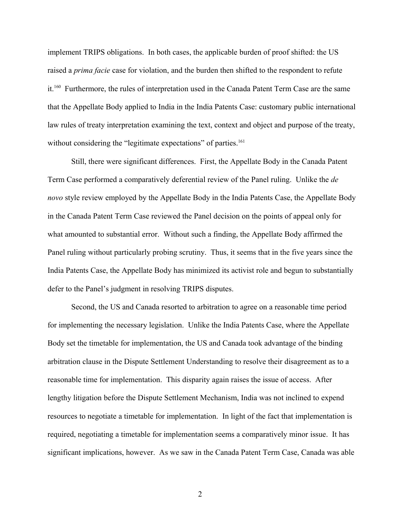implement TRIPS obligations. In both cases, the applicable burden of proof shifted: the US raised a *prima facie* case for violation, and the burden then shifted to the respondent to refute it.[160](#page-44-30) Furthermore, the rules of interpretation used in the Canada Patent Term Case are the same that the Appellate Body applied to India in the India Patents Case: customary public international law rules of treaty interpretation examining the text, context and object and purpose of the treaty, without considering the "legitimate expectations" of parties.<sup>[161](#page-44-31)</sup>

Still, there were significant differences. First, the Appellate Body in the Canada Patent Term Case performed a comparatively deferential review of the Panel ruling. Unlike the *de novo* style review employed by the Appellate Body in the India Patents Case, the Appellate Body in the Canada Patent Term Case reviewed the Panel decision on the points of appeal only for what amounted to substantial error. Without such a finding, the Appellate Body affirmed the Panel ruling without particularly probing scrutiny. Thus, it seems that in the five years since the India Patents Case, the Appellate Body has minimized its activist role and begun to substantially defer to the Panel's judgment in resolving TRIPS disputes.

Second, the US and Canada resorted to arbitration to agree on a reasonable time period for implementing the necessary legislation. Unlike the India Patents Case, where the Appellate Body set the timetable for implementation, the US and Canada took advantage of the binding arbitration clause in the Dispute Settlement Understanding to resolve their disagreement as to a reasonable time for implementation. This disparity again raises the issue of access. After lengthy litigation before the Dispute Settlement Mechanism, India was not inclined to expend resources to negotiate a timetable for implementation. In light of the fact that implementation is required, negotiating a timetable for implementation seems a comparatively minor issue. It has significant implications, however. As we saw in the Canada Patent Term Case, Canada was able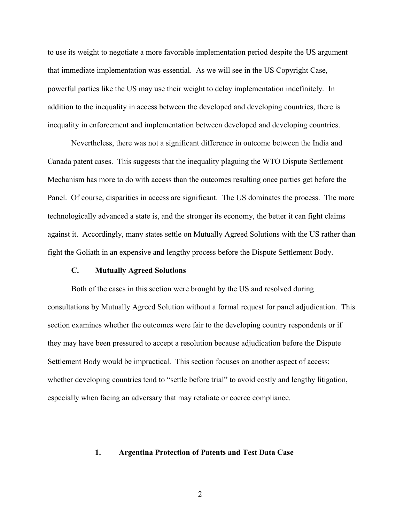to use its weight to negotiate a more favorable implementation period despite the US argument that immediate implementation was essential. As we will see in the US Copyright Case, powerful parties like the US may use their weight to delay implementation indefinitely. In addition to the inequality in access between the developed and developing countries, there is inequality in enforcement and implementation between developed and developing countries.

Nevertheless, there was not a significant difference in outcome between the India and Canada patent cases. This suggests that the inequality plaguing the WTO Dispute Settlement Mechanism has more to do with access than the outcomes resulting once parties get before the Panel. Of course, disparities in access are significant. The US dominates the process. The more technologically advanced a state is, and the stronger its economy, the better it can fight claims against it. Accordingly, many states settle on Mutually Agreed Solutions with the US rather than fight the Goliath in an expensive and lengthy process before the Dispute Settlement Body.

### **C. Mutually Agreed Solutions**

Both of the cases in this section were brought by the US and resolved during consultations by Mutually Agreed Solution without a formal request for panel adjudication. This section examines whether the outcomes were fair to the developing country respondents or if they may have been pressured to accept a resolution because adjudication before the Dispute Settlement Body would be impractical. This section focuses on another aspect of access: whether developing countries tend to "settle before trial" to avoid costly and lengthy litigation, especially when facing an adversary that may retaliate or coerce compliance.

#### **1. Argentina Protection of Patents and Test Data Case**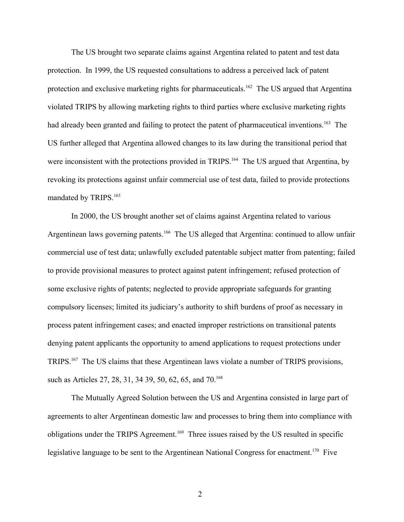The US brought two separate claims against Argentina related to patent and test data protection. In 1999, the US requested consultations to address a perceived lack of patent protection and exclusive marketing rights for pharmaceuticals.<sup>[162](#page-44-32)</sup> The US argued that Argentina violated TRIPS by allowing marketing rights to third parties where exclusive marketing rights had already been granted and failing to protect the patent of pharmaceutical inventions.<sup>[163](#page-44-33)</sup> The US further alleged that Argentina allowed changes to its law during the transitional period that were inconsistent with the protections provided in TRIPS.<sup>[164](#page-44-34)</sup> The US argued that Argentina, by revoking its protections against unfair commercial use of test data, failed to provide protections mandated by TRIPS.<sup>[165](#page-44-35)</sup>

In 2000, the US brought another set of claims against Argentina related to various Argentinean laws governing patents.<sup>[166](#page-44-36)</sup> The US alleged that Argentina: continued to allow unfair commercial use of test data; unlawfully excluded patentable subject matter from patenting; failed to provide provisional measures to protect against patent infringement; refused protection of some exclusive rights of patents; neglected to provide appropriate safeguards for granting compulsory licenses; limited its judiciary's authority to shift burdens of proof as necessary in process patent infringement cases; and enacted improper restrictions on transitional patents denying patent applicants the opportunity to amend applications to request protections under TRIPS.[167](#page-44-37) The US claims that these Argentinean laws violate a number of TRIPS provisions, such as Articles 27, 28, 31, 34 39, 50, 62, 65, and 70.<sup>[168](#page-44-38)</sup>

The Mutually Agreed Solution between the US and Argentina consisted in large part of agreements to alter Argentinean domestic law and processes to bring them into compliance with obligations under the TRIPS Agreement.[169](#page-44-39) Three issues raised by the US resulted in specific legislative language to be sent to the Argentinean National Congress for enactment.<sup>[170](#page-44-40)</sup> Five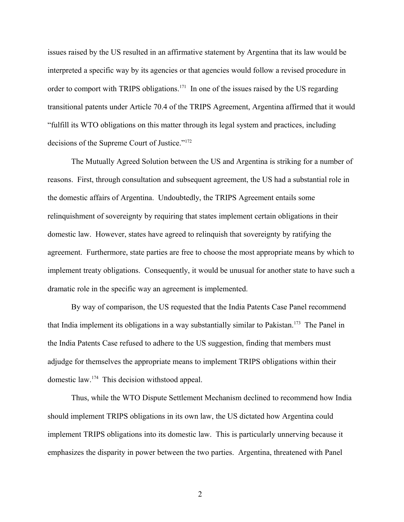issues raised by the US resulted in an affirmative statement by Argentina that its law would be interpreted a specific way by its agencies or that agencies would follow a revised procedure in order to comport with TRIPS obligations.<sup>[171](#page-44-41)</sup> In one of the issues raised by the US regarding transitional patents under Article 70.4 of the TRIPS Agreement, Argentina affirmed that it would "fulfill its WTO obligations on this matter through its legal system and practices, including decisions of the Supreme Court of Justice."[172](#page-44-42)

The Mutually Agreed Solution between the US and Argentina is striking for a number of reasons. First, through consultation and subsequent agreement, the US had a substantial role in the domestic affairs of Argentina. Undoubtedly, the TRIPS Agreement entails some relinquishment of sovereignty by requiring that states implement certain obligations in their domestic law. However, states have agreed to relinquish that sovereignty by ratifying the agreement. Furthermore, state parties are free to choose the most appropriate means by which to implement treaty obligations. Consequently, it would be unusual for another state to have such a dramatic role in the specific way an agreement is implemented.

By way of comparison, the US requested that the India Patents Case Panel recommend that India implement its obligations in a way substantially similar to Pakistan.<sup>[173](#page-45-0)</sup> The Panel in the India Patents Case refused to adhere to the US suggestion, finding that members must adjudge for themselves the appropriate means to implement TRIPS obligations within their domestic law.[174](#page-45-1) This decision withstood appeal.

Thus, while the WTO Dispute Settlement Mechanism declined to recommend how India should implement TRIPS obligations in its own law, the US dictated how Argentina could implement TRIPS obligations into its domestic law. This is particularly unnerving because it emphasizes the disparity in power between the two parties. Argentina, threatened with Panel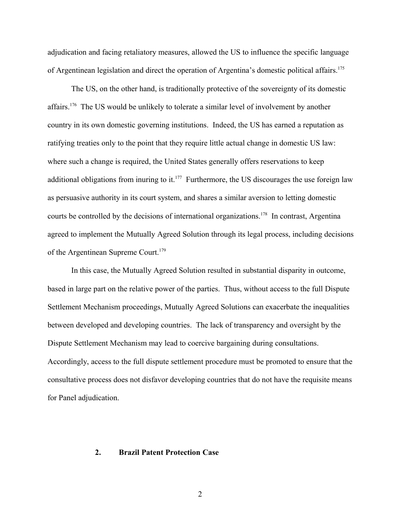adjudication and facing retaliatory measures, allowed the US to influence the specific language of Argentinean legislation and direct the operation of Argentina's domestic political affairs.<sup>[175](#page-45-2)</sup>

The US, on the other hand, is traditionally protective of the sovereignty of its domestic affairs.[176](#page-45-3) The US would be unlikely to tolerate a similar level of involvement by another country in its own domestic governing institutions. Indeed, the US has earned a reputation as ratifying treaties only to the point that they require little actual change in domestic US law: where such a change is required, the United States generally offers reservations to keep additional obligations from inuring to it.<sup>[177](#page-45-4)</sup> Furthermore, the US discourages the use foreign law as persuasive authority in its court system, and shares a similar aversion to letting domestic courts be controlled by the decisions of international organizations.<sup>[178](#page-45-5)</sup> In contrast, Argentina agreed to implement the Mutually Agreed Solution through its legal process, including decisions of the Argentinean Supreme Court.<sup>[179](#page-45-6)</sup>

In this case, the Mutually Agreed Solution resulted in substantial disparity in outcome, based in large part on the relative power of the parties. Thus, without access to the full Dispute Settlement Mechanism proceedings, Mutually Agreed Solutions can exacerbate the inequalities between developed and developing countries. The lack of transparency and oversight by the Dispute Settlement Mechanism may lead to coercive bargaining during consultations. Accordingly, access to the full dispute settlement procedure must be promoted to ensure that the consultative process does not disfavor developing countries that do not have the requisite means for Panel adjudication.

#### **2. Brazil Patent Protection Case**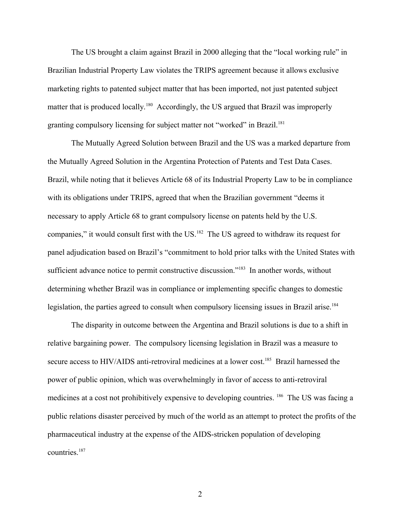The US brought a claim against Brazil in 2000 alleging that the "local working rule" in Brazilian Industrial Property Law violates the TRIPS agreement because it allows exclusive marketing rights to patented subject matter that has been imported, not just patented subject matter that is produced locally.<sup>[180](#page-45-7)</sup> Accordingly, the US argued that Brazil was improperly granting compulsory licensing for subject matter not "worked" in Brazil.<sup>[181](#page-45-8)</sup>

The Mutually Agreed Solution between Brazil and the US was a marked departure from the Mutually Agreed Solution in the Argentina Protection of Patents and Test Data Cases. Brazil, while noting that it believes Article 68 of its Industrial Property Law to be in compliance with its obligations under TRIPS, agreed that when the Brazilian government "deems it necessary to apply Article 68 to grant compulsory license on patents held by the U.S. companies," it would consult first with the US.<sup>[182](#page-45-9)</sup> The US agreed to withdraw its request for panel adjudication based on Brazil's "commitment to hold prior talks with the United States with sufficient advance notice to permit constructive discussion."<sup>[183](#page-45-10)</sup> In another words, without determining whether Brazil was in compliance or implementing specific changes to domestic legislation, the parties agreed to consult when compulsory licensing issues in Brazil arise.<sup>[184](#page-45-11)</sup>

The disparity in outcome between the Argentina and Brazil solutions is due to a shift in relative bargaining power. The compulsory licensing legislation in Brazil was a measure to secure access to HIV/AIDS anti-retroviral medicines at a lower cost.<sup>[185](#page-45-12)</sup> Brazil harnessed the power of public opinion, which was overwhelmingly in favor of access to anti-retroviral medicines at a cost not prohibitively expensive to developing countries. [186](#page-45-13) The US was facing a public relations disaster perceived by much of the world as an attempt to protect the profits of the pharmaceutical industry at the expense of the AIDS-stricken population of developing countries.<sup>[187](#page-45-14)</sup>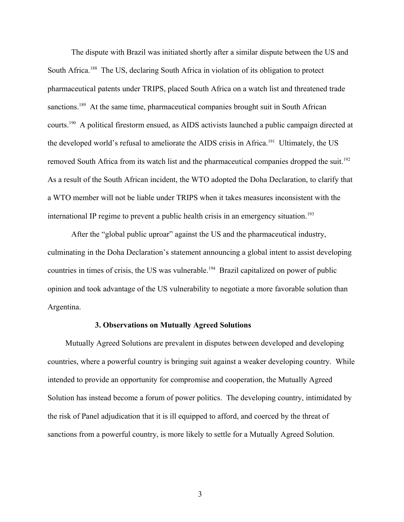The dispute with Brazil was initiated shortly after a similar dispute between the US and South Africa.<sup>[188](#page-45-15)</sup> The US, declaring South Africa in violation of its obligation to protect pharmaceutical patents under TRIPS, placed South Africa on a watch list and threatened trade sanctions.<sup>[189](#page-45-16)</sup> At the same time, pharmaceutical companies brought suit in South African courts.[190](#page-45-17) A political firestorm ensued, as AIDS activists launched a public campaign directed at the developed world's refusal to ameliorate the AIDS crisis in Africa.<sup>[191](#page-45-18)</sup> Ultimately, the US removed South Africa from its watch list and the pharmaceutical companies dropped the suit.<sup>[192](#page-45-19)</sup> As a result of the South African incident, the WTO adopted the Doha Declaration, to clarify that a WTO member will not be liable under TRIPS when it takes measures inconsistent with the international IP regime to prevent a public health crisis in an emergency situation.<sup>[193](#page-45-20)</sup>

After the "global public uproar" against the US and the pharmaceutical industry, culminating in the Doha Declaration's statement announcing a global intent to assist developing countries in times of crisis, the US was vulnerable.<sup>[194](#page-45-21)</sup> Brazil capitalized on power of public opinion and took advantage of the US vulnerability to negotiate a more favorable solution than Argentina.

#### **3. Observations on Mutually Agreed Solutions**

Mutually Agreed Solutions are prevalent in disputes between developed and developing countries, where a powerful country is bringing suit against a weaker developing country. While intended to provide an opportunity for compromise and cooperation, the Mutually Agreed Solution has instead become a forum of power politics. The developing country, intimidated by the risk of Panel adjudication that it is ill equipped to afford, and coerced by the threat of sanctions from a powerful country, is more likely to settle for a Mutually Agreed Solution.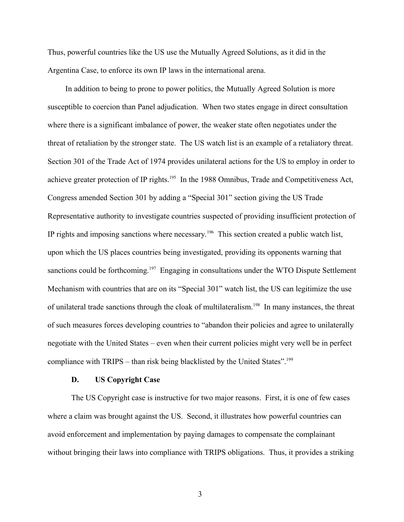Thus, powerful countries like the US use the Mutually Agreed Solutions, as it did in the Argentina Case, to enforce its own IP laws in the international arena.

In addition to being to prone to power politics, the Mutually Agreed Solution is more susceptible to coercion than Panel adjudication. When two states engage in direct consultation where there is a significant imbalance of power, the weaker state often negotiates under the threat of retaliation by the stronger state. The US watch list is an example of a retaliatory threat. Section 301 of the Trade Act of 1974 provides unilateral actions for the US to employ in order to achieve greater protection of IP rights.<sup>[195](#page-45-22)</sup> In the 1988 Omnibus, Trade and Competitiveness Act, Congress amended Section 301 by adding a "Special 301" section giving the US Trade Representative authority to investigate countries suspected of providing insufficient protection of IP rights and imposing sanctions where necessary.[196](#page-45-23) This section created a public watch list, upon which the US places countries being investigated, providing its opponents warning that sanctions could be forthcoming.<sup>[197](#page-45-24)</sup> Engaging in consultations under the WTO Dispute Settlement Mechanism with countries that are on its "Special 301" watch list, the US can legitimize the use of unilateral trade sanctions through the cloak of multilateralism.<sup>[198](#page-45-25)</sup> In many instances, the threat of such measures forces developing countries to "abandon their policies and agree to unilaterally negotiate with the United States – even when their current policies might very well be in perfect compliance with  $TRIPS -$  than risk being blacklisted by the United States".<sup>[199](#page-45-26)</sup>

### **D. US Copyright Case**

The US Copyright case is instructive for two major reasons. First, it is one of few cases where a claim was brought against the US. Second, it illustrates how powerful countries can avoid enforcement and implementation by paying damages to compensate the complainant without bringing their laws into compliance with TRIPS obligations. Thus, it provides a striking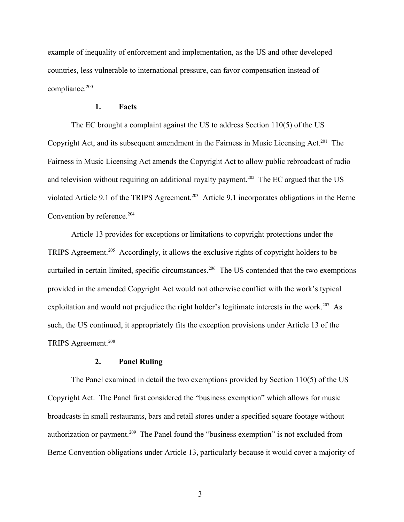example of inequality of enforcement and implementation, as the US and other developed countries, less vulnerable to international pressure, can favor compensation instead of compliance.<sup>[200](#page-45-27)</sup>

#### **1. Facts**

The EC brought a complaint against the US to address Section 110(5) of the US Copyright Act, and its subsequent amendment in the Fairness in Music Licensing Act.<sup>[201](#page-45-28)</sup> The Fairness in Music Licensing Act amends the Copyright Act to allow public rebroadcast of radio and television without requiring an additional royalty payment.<sup>[202](#page-45-29)</sup> The EC argued that the US violated Article 9.1 of the TRIPS Agreement.<sup>[203](#page-45-30)</sup> Article 9.1 incorporates obligations in the Berne Convention by reference.<sup>[204](#page-45-31)</sup>

Article 13 provides for exceptions or limitations to copyright protections under the TRIPS Agreement.[205](#page-45-32) Accordingly, it allows the exclusive rights of copyright holders to be curtailed in certain limited, specific circumstances.<sup>[206](#page-45-33)</sup> The US contended that the two exemptions provided in the amended Copyright Act would not otherwise conflict with the work's typical exploitation and would not prejudice the right holder's legitimate interests in the work.<sup>[207](#page-45-34)</sup> As such, the US continued, it appropriately fits the exception provisions under Article 13 of the TRIPS Agreement.<sup>[208](#page-45-35)</sup>

# **2. Panel Ruling**

The Panel examined in detail the two exemptions provided by Section 110(5) of the US Copyright Act. The Panel first considered the "business exemption" which allows for music broadcasts in small restaurants, bars and retail stores under a specified square footage without authorization or payment.<sup>[209](#page-45-36)</sup> The Panel found the "business exemption" is not excluded from Berne Convention obligations under Article 13, particularly because it would cover a majority of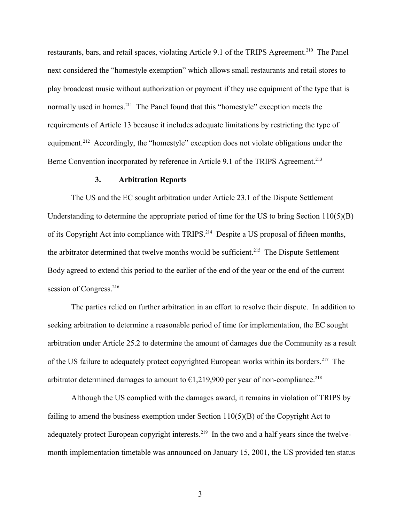restaurants, bars, and retail spaces, violating Article 9.1 of the TRIPS Agreement.<sup>[210](#page-45-37)</sup> The Panel next considered the "homestyle exemption" which allows small restaurants and retail stores to play broadcast music without authorization or payment if they use equipment of the type that is normally used in homes.<sup>[211](#page-45-38)</sup> The Panel found that this "homestyle" exception meets the requirements of Article 13 because it includes adequate limitations by restricting the type of equipment.<sup>[212](#page-45-39)</sup> Accordingly, the "homestyle" exception does not violate obligations under the Berne Convention incorporated by reference in Article 9.1 of the TRIPS Agreement.<sup>[213](#page-46-0)</sup>

#### **3. Arbitration Reports**

The US and the EC sought arbitration under Article 23.1 of the Dispute Settlement Understanding to determine the appropriate period of time for the US to bring Section 110(5)(B) of its Copyright Act into compliance with TRIPS.<sup>[214](#page-46-1)</sup> Despite a US proposal of fifteen months, the arbitrator determined that twelve months would be sufficient.<sup>[215](#page-46-2)</sup> The Dispute Settlement Body agreed to extend this period to the earlier of the end of the year or the end of the current session of Congress.<sup>[216](#page-46-3)</sup>

The parties relied on further arbitration in an effort to resolve their dispute. In addition to seeking arbitration to determine a reasonable period of time for implementation, the EC sought arbitration under Article 25.2 to determine the amount of damages due the Community as a result of the US failure to adequately protect copyrighted European works within its borders.<sup>[217](#page-46-4)</sup> The arbitrator determined damages to amount to  $\epsilon$ 1,219,900 per year of non-compliance.<sup>[218](#page-46-5)</sup>

Although the US complied with the damages award, it remains in violation of TRIPS by failing to amend the business exemption under Section 110(5)(B) of the Copyright Act to adequately protect European copyright interests.<sup>[219](#page-46-6)</sup> In the two and a half years since the twelvemonth implementation timetable was announced on January 15, 2001, the US provided ten status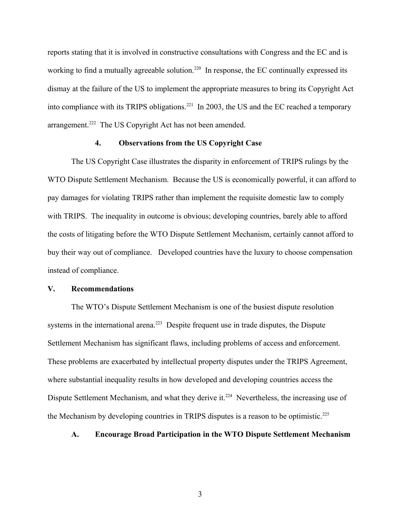reports stating that it is involved in constructive consultations with Congress and the EC and is working to find a mutually agreeable solution.<sup>[220](#page-46-7)</sup> In response, the EC continually expressed its dismay at the failure of the US to implement the appropriate measures to bring its Copyright Act into compliance with its TRIPS obligations.<sup>[221](#page-46-8)</sup> In 2003, the US and the EC reached a temporary arrangement.<sup>[222](#page-46-9)</sup> The US Copyright Act has not been amended.

### **4. Observations from the US Copyright Case**

The US Copyright Case illustrates the disparity in enforcement of TRIPS rulings by the WTO Dispute Settlement Mechanism. Because the US is economically powerful, it can afford to pay damages for violating TRIPS rather than implement the requisite domestic law to comply with TRIPS. The inequality in outcome is obvious; developing countries, barely able to afford the costs of litigating before the WTO Dispute Settlement Mechanism, certainly cannot afford to buy their way out of compliance. Developed countries have the luxury to choose compensation instead of compliance.

# **V. Recommendations**

The WTO's Dispute Settlement Mechanism is one of the busiest dispute resolution systems in the international arena.<sup>[223](#page-46-10)</sup> Despite frequent use in trade disputes, the Dispute Settlement Mechanism has significant flaws, including problems of access and enforcement. These problems are exacerbated by intellectual property disputes under the TRIPS Agreement, where substantial inequality results in how developed and developing countries access the Dispute Settlement Mechanism, and what they derive it.<sup>[224](#page-46-11)</sup> Nevertheless, the increasing use of the Mechanism by developing countries in TRIPS disputes is a reason to be optimistic.<sup>[225](#page-46-12)</sup>

### **A. Encourage Broad Participation in the WTO Dispute Settlement Mechanism**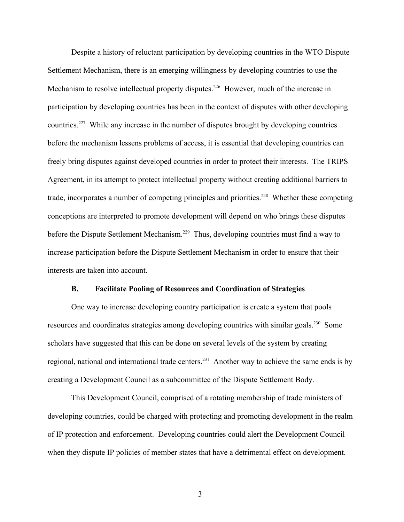Despite a history of reluctant participation by developing countries in the WTO Dispute Settlement Mechanism, there is an emerging willingness by developing countries to use the Mechanism to resolve intellectual property disputes.<sup>[226](#page-46-13)</sup> However, much of the increase in participation by developing countries has been in the context of disputes with other developing countries.[227](#page-46-14) While any increase in the number of disputes brought by developing countries before the mechanism lessens problems of access, it is essential that developing countries can freely bring disputes against developed countries in order to protect their interests. The TRIPS Agreement, in its attempt to protect intellectual property without creating additional barriers to trade, incorporates a number of competing principles and priorities.<sup>[228](#page-46-15)</sup> Whether these competing conceptions are interpreted to promote development will depend on who brings these disputes before the Dispute Settlement Mechanism.<sup>[229](#page-46-16)</sup> Thus, developing countries must find a way to increase participation before the Dispute Settlement Mechanism in order to ensure that their interests are taken into account.

### **B. Facilitate Pooling of Resources and Coordination of Strategies**

One way to increase developing country participation is create a system that pools resources and coordinates strategies among developing countries with similar goals.[230](#page-46-17) Some scholars have suggested that this can be done on several levels of the system by creating regional, national and international trade centers.<sup>[231](#page-46-18)</sup> Another way to achieve the same ends is by creating a Development Council as a subcommittee of the Dispute Settlement Body.

This Development Council, comprised of a rotating membership of trade ministers of developing countries, could be charged with protecting and promoting development in the realm of IP protection and enforcement. Developing countries could alert the Development Council when they dispute IP policies of member states that have a detrimental effect on development.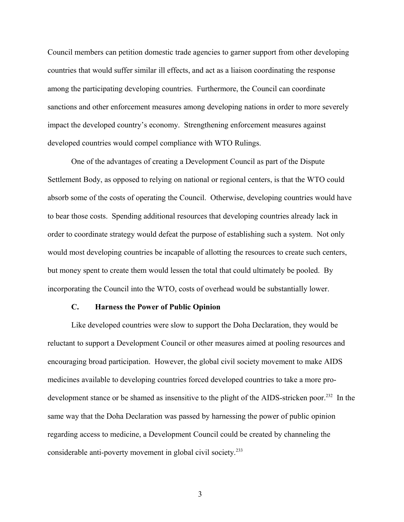Council members can petition domestic trade agencies to garner support from other developing countries that would suffer similar ill effects, and act as a liaison coordinating the response among the participating developing countries. Furthermore, the Council can coordinate sanctions and other enforcement measures among developing nations in order to more severely impact the developed country's economy. Strengthening enforcement measures against developed countries would compel compliance with WTO Rulings.

One of the advantages of creating a Development Council as part of the Dispute Settlement Body, as opposed to relying on national or regional centers, is that the WTO could absorb some of the costs of operating the Council. Otherwise, developing countries would have to bear those costs. Spending additional resources that developing countries already lack in order to coordinate strategy would defeat the purpose of establishing such a system. Not only would most developing countries be incapable of allotting the resources to create such centers, but money spent to create them would lessen the total that could ultimately be pooled. By incorporating the Council into the WTO, costs of overhead would be substantially lower.

#### **C. Harness the Power of Public Opinion**

Like developed countries were slow to support the Doha Declaration, they would be reluctant to support a Development Council or other measures aimed at pooling resources and encouraging broad participation. However, the global civil society movement to make AIDS medicines available to developing countries forced developed countries to take a more pro-development stance or be shamed as insensitive to the plight of the AIDS-stricken poor.<sup>[232](#page-46-19)</sup> In the same way that the Doha Declaration was passed by harnessing the power of public opinion regarding access to medicine, a Development Council could be created by channeling the considerable anti-poverty movement in global civil society.<sup>[233](#page-46-20)</sup>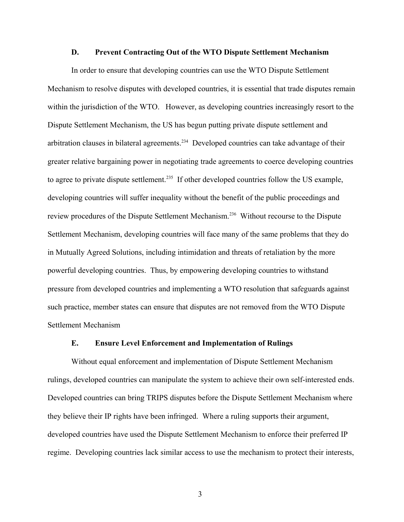#### **D. Prevent Contracting Out of the WTO Dispute Settlement Mechanism**

In order to ensure that developing countries can use the WTO Dispute Settlement Mechanism to resolve disputes with developed countries, it is essential that trade disputes remain within the jurisdiction of the WTO. However, as developing countries increasingly resort to the Dispute Settlement Mechanism, the US has begun putting private dispute settlement and arbitration clauses in bilateral agreements.<sup>[234](#page-46-21)</sup> Developed countries can take advantage of their greater relative bargaining power in negotiating trade agreements to coerce developing countries to agree to private dispute settlement.<sup>[235](#page-46-22)</sup> If other developed countries follow the US example, developing countries will suffer inequality without the benefit of the public proceedings and review procedures of the Dispute Settlement Mechanism.[236](#page-46-23) Without recourse to the Dispute Settlement Mechanism, developing countries will face many of the same problems that they do in Mutually Agreed Solutions, including intimidation and threats of retaliation by the more powerful developing countries. Thus, by empowering developing countries to withstand pressure from developed countries and implementing a WTO resolution that safeguards against such practice, member states can ensure that disputes are not removed from the WTO Dispute Settlement Mechanism

#### **E. Ensure Level Enforcement and Implementation of Rulings**

Without equal enforcement and implementation of Dispute Settlement Mechanism rulings, developed countries can manipulate the system to achieve their own self-interested ends. Developed countries can bring TRIPS disputes before the Dispute Settlement Mechanism where they believe their IP rights have been infringed. Where a ruling supports their argument, developed countries have used the Dispute Settlement Mechanism to enforce their preferred IP regime. Developing countries lack similar access to use the mechanism to protect their interests,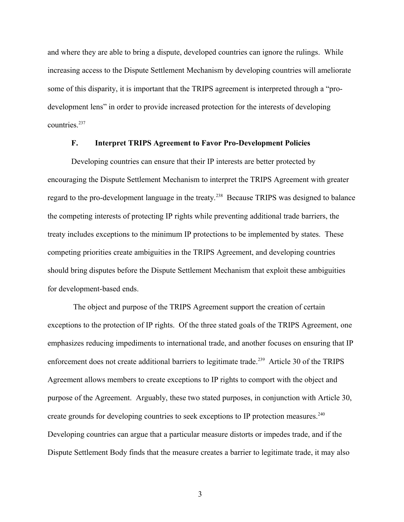and where they are able to bring a dispute, developed countries can ignore the rulings. While increasing access to the Dispute Settlement Mechanism by developing countries will ameliorate some of this disparity, it is important that the TRIPS agreement is interpreted through a "prodevelopment lens" in order to provide increased protection for the interests of developing countries.[237](#page-46-24)

# **F. Interpret TRIPS Agreement to Favor Pro-Development Policies**

Developing countries can ensure that their IP interests are better protected by encouraging the Dispute Settlement Mechanism to interpret the TRIPS Agreement with greater regard to the pro-development language in the treaty.[238](#page-46-25) Because TRIPS was designed to balance the competing interests of protecting IP rights while preventing additional trade barriers, the treaty includes exceptions to the minimum IP protections to be implemented by states. These competing priorities create ambiguities in the TRIPS Agreement, and developing countries should bring disputes before the Dispute Settlement Mechanism that exploit these ambiguities for development-based ends.

 The object and purpose of the TRIPS Agreement support the creation of certain exceptions to the protection of IP rights. Of the three stated goals of the TRIPS Agreement, one emphasizes reducing impediments to international trade, and another focuses on ensuring that IP enforcement does not create additional barriers to legitimate trade.<sup>[239](#page-46-26)</sup> Article 30 of the TRIPS Agreement allows members to create exceptions to IP rights to comport with the object and purpose of the Agreement. Arguably, these two stated purposes, in conjunction with Article 30, create grounds for developing countries to seek exceptions to IP protection measures.<sup>[240](#page-46-27)</sup> Developing countries can argue that a particular measure distorts or impedes trade, and if the Dispute Settlement Body finds that the measure creates a barrier to legitimate trade, it may also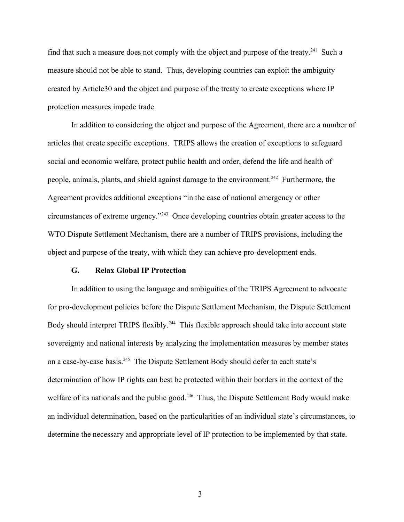find that such a measure does not comply with the object and purpose of the treaty.<sup>[241](#page-46-28)</sup> Such a measure should not be able to stand. Thus, developing countries can exploit the ambiguity created by Article30 and the object and purpose of the treaty to create exceptions where IP protection measures impede trade.

In addition to considering the object and purpose of the Agreement, there are a number of articles that create specific exceptions. TRIPS allows the creation of exceptions to safeguard social and economic welfare, protect public health and order, defend the life and health of people, animals, plants, and shield against damage to the environment.<sup>[242](#page-46-29)</sup> Furthermore, the Agreement provides additional exceptions "in the case of national emergency or other circumstances of extreme urgency."[243](#page-46-30) Once developing countries obtain greater access to the WTO Dispute Settlement Mechanism, there are a number of TRIPS provisions, including the object and purpose of the treaty, with which they can achieve pro-development ends.

### **G. Relax Global IP Protection**

In addition to using the language and ambiguities of the TRIPS Agreement to advocate for pro-development policies before the Dispute Settlement Mechanism, the Dispute Settlement Body should interpret TRIPS flexibly.<sup>[244](#page-46-31)</sup> This flexible approach should take into account state sovereignty and national interests by analyzing the implementation measures by member states on a case-by-case basis.[245](#page-46-32) The Dispute Settlement Body should defer to each state's determination of how IP rights can best be protected within their borders in the context of the welfare of its nationals and the public good.<sup>[246](#page-46-33)</sup> Thus, the Dispute Settlement Body would make an individual determination, based on the particularities of an individual state's circumstances, to determine the necessary and appropriate level of IP protection to be implemented by that state.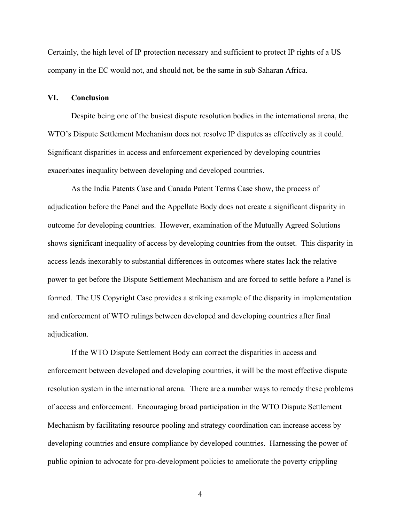Certainly, the high level of IP protection necessary and sufficient to protect IP rights of a US company in the EC would not, and should not, be the same in sub-Saharan Africa.

# **VI. Conclusion**

Despite being one of the busiest dispute resolution bodies in the international arena, the WTO's Dispute Settlement Mechanism does not resolve IP disputes as effectively as it could. Significant disparities in access and enforcement experienced by developing countries exacerbates inequality between developing and developed countries.

As the India Patents Case and Canada Patent Terms Case show, the process of adjudication before the Panel and the Appellate Body does not create a significant disparity in outcome for developing countries. However, examination of the Mutually Agreed Solutions shows significant inequality of access by developing countries from the outset. This disparity in access leads inexorably to substantial differences in outcomes where states lack the relative power to get before the Dispute Settlement Mechanism and are forced to settle before a Panel is formed. The US Copyright Case provides a striking example of the disparity in implementation and enforcement of WTO rulings between developed and developing countries after final adjudication.

If the WTO Dispute Settlement Body can correct the disparities in access and enforcement between developed and developing countries, it will be the most effective dispute resolution system in the international arena. There are a number ways to remedy these problems of access and enforcement. Encouraging broad participation in the WTO Dispute Settlement Mechanism by facilitating resource pooling and strategy coordination can increase access by developing countries and ensure compliance by developed countries. Harnessing the power of public opinion to advocate for pro-development policies to ameliorate the poverty crippling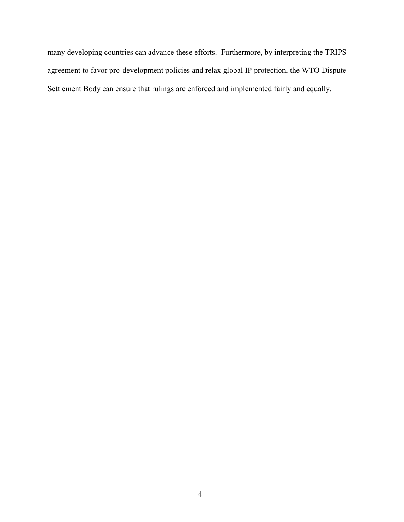many developing countries can advance these efforts. Furthermore, by interpreting the TRIPS agreement to favor pro-development policies and relax global IP protection, the WTO Dispute Settlement Body can ensure that rulings are enforced and implemented fairly and equally.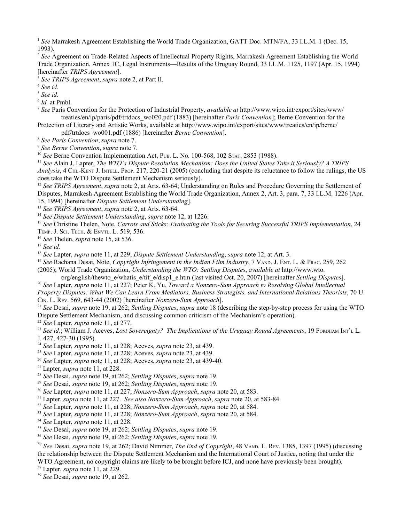<span id="page-41-0"></span><sup>1</sup> See Marrakesh Agreement Establishing the World Trade Organization, GATT Doc. MTN/FA, 33 I.L.M. 1 (Dec. 15, 1993).

<span id="page-41-1"></span> *See* Agreement on Trade-Related Aspects of Intellectual Property Rights, Marrakesh Agreement Establishing the World Trade Organization, Annex 1C, Legal Instruments—Results of the Uruguay Round, 33 I.L.M. 1125, 1197 (Apr. 15, 1994) [hereinafter *TRIPS Agreement*].

<span id="page-41-2"></span>*See TRIPS Agreement*, *supra* note 2, at Part II.

<span id="page-41-3"></span>*See id.*

<span id="page-41-4"></span>*See id.*

<span id="page-41-5"></span>*Id.* at Pmbl.

<span id="page-41-6"></span> *See* Paris Convention for the Protection of Industrial Property, *available at* http://www.wipo.int/export/sites/www/ treaties/en/ip/paris/pdf/trtdocs\_wo020.pdf (1883) [hereinafter *Paris Convention*]; Berne Convention for the Protection of Literary and Artistic Works, available at http://www.wipo.int/export/sites/www/treaties/en/ip/berne/

pdf/trtdocs\_wo001.pdf (1886) [hereinafter *Berne Convention*].

<span id="page-41-7"></span>*See Paris Convention*, *supra* note 7.

<span id="page-41-8"></span>*See Berne Convention*, s*upra* note 7.

<span id="page-41-9"></span><sup>10</sup> See Berne Convention Implementation Act, PUB. L. No. 100-568, 102 STAT. 2853 (1988).

<span id="page-41-10"></span> *See* Alain J. Lapter, *The WTO's Dispute Resolution Mechanism: Does the United States Take it Seriously? A TRIPS Analysis*, 4 CHI.-KENT J. INTELL. PROP. 217, 220-21 (2005) (concluding that despite its reluctance to follow the rulings, the US does take the WTO Dispute Settlement Mechanism seriously).

<span id="page-41-11"></span> *See TRIPS Agreement*, *supra* note 2, at Arts. 63-64; Understanding on Rules and Procedure Governing the Settlement of Disputes, Marrakesh Agreement Establishing the World Trade Organization, Annex 2, Art. 3, para. 7, 33 I.L.M. 1226 (Apr. 15, 1994) [hereinafter *Dispute Settlement Understanding*].

<span id="page-41-12"></span>*See TRIPS Agreement*, *supra* note 2, at Arts. 63-64.

<span id="page-41-13"></span>*See Dispute Settlement Understanding*, *supra* note 12, at 1226.

<span id="page-41-14"></span><sup>15</sup> See Christine Thelen, Note, *Carrots and Sticks: Evaluating the Tools for Securing Successful TRIPS Implementation*, 24 TEMP. J. SCI. TECH. & ENVTL. L. 519, 536.

<span id="page-41-15"></span>*See* Thelen, *supra* note 15, at 536.

<span id="page-41-16"></span>*See id.*

<span id="page-41-17"></span>*See* Lapter, *supra* note 11, at 229; *Dispute Settlement Understanding*, *supra* note 12, at Art. 3.

<span id="page-41-18"></span> *See* Rachana Desai, Note, *Copyright Infringement in the Indian Film Industry*, 7 VAND. J. ENT. L. & PRAC. 259, 262 (2005); World Trade Organization, *Understanding the WTO: Settling Disputes*, *available at* http://www.wto.

org/english/thewto\_e/whatis\_e/tif\_e/disp1\_e.htm (last visited Oct. 20, 2007) [hereinafter *Settling Disputes*].

<span id="page-41-19"></span> *See* Lapter, *supra* note 11, at 227; Peter K. Yu, *Toward a Nonzero-Sum Approach to Resolving Global Intellectual Property Disputes: What We Can Learn From Mediators, Business Strategists, and International Relations Theorists*, 70 U. CIN. L. REV. 569, 643-44 (2002) [hereinafter *Nonzero-Sum Approach*].

<span id="page-41-20"></span> *See* Desai, *supra* note 19, at 262; *Settling Disputes*, *supra* note 18 (describing the step-by-step process for using the WTO Dispute Settlement Mechanism, and discussing common criticism of the Mechanism's operation).

<span id="page-41-21"></span>*See* Lapter, *supra* note 11, at 277.

<span id="page-41-22"></span><sup>23</sup> See id.; William J. Aceves, *Lost Sovereignty? The Implications of the Uruguay Round Agreements*, 19 FORDHAM INT'L L. J. 427, 427-30 (1995).

<span id="page-41-23"></span>*See* Lapter, *supra* note 11, at 228; Aceves, *supra* note 23, at 439.

<span id="page-41-24"></span>*See* Lapter, *supra* note 11, at 228; Aceves, *supra* note 23, at 439.

<span id="page-41-25"></span>*See* Lapter, *supra* note 11, at 228; Aceves, *supra* note 23, at 439-40.

<span id="page-41-26"></span>Lapter, *supra* note 11, at 228.

<span id="page-41-27"></span>*See* Desai, *supra* note 19, at 262; *Settling Disputes*, *supra* note 19.

<span id="page-41-28"></span>*See* Desai, *supra* note 19, at 262; *Settling Disputes*, *supra* note 19.

<span id="page-41-29"></span>*See* Lapter, *supra* note 11, at 227; *Nonzero-Sum Approach*, *supra* note 20, at 583.

<span id="page-41-30"></span>Lapter, *supra* note 11, at 227. *See also Nonzero-Sum Approach*, *supra* note 20, at 583-84.

<span id="page-41-31"></span>*See* Lapter, *supra* note 11, at 228; *Nonzero-Sum Approach*, *supra* note 20, at 584.

<span id="page-41-32"></span>*See* Lapter, *supra* note 11, at 228; *Nonzero-Sum Approach*, *supra* note 20, at 584.

<span id="page-41-33"></span>*See* Lapter, *supra* note 11, at 228.

<span id="page-41-34"></span>*See* Desai, *supra* note 19, at 262; *Settling Disputes*, *supra* note 19.

<span id="page-41-35"></span>*See* Desai, *supra* note 19, at 262; *Settling Disputes*, *supra* note 19.

<span id="page-41-36"></span>7 *See* Desai, *supra* note 19, at 262; David Nimmer, *The End of Copyright*, 48 VAND. L. REV. 1385, 1397 (1995) (discussing the relationship between the Dispute Settlement Mechanism and the International Court of Justice, noting that under the WTO Agreement, no copyright claims are likely to be brought before ICJ, and none have previously been brought).

<span id="page-41-37"></span>Lapter, *supra* note 11, at 229.

<span id="page-41-38"></span>*See* Desai, *supra* note 19, at 262.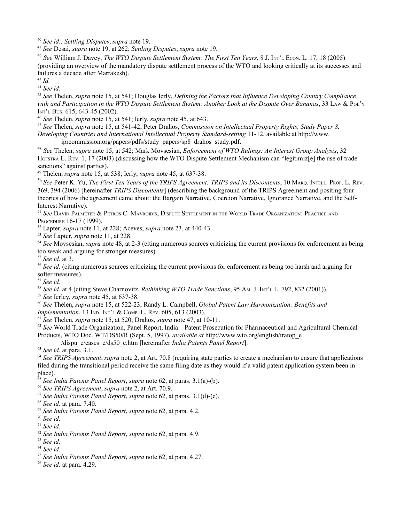<span id="page-42-0"></span>*See id*.*; Settling Disputes*, *supra* note 19.

<span id="page-42-1"></span>*See* Desai, *supra* note 19, at 262; *Settling Disputes*, *supra* note 19.

<span id="page-42-2"></span>2 *See* William J. Davey, *The WTO Dispute Settlement System: The First Ten Years*, 8 J. INT'L ECON. L. 17, 18 (2005) (providing an overview of the mandatory dispute settlement process of the WTO and looking critically at its successes and failures a decade after Marrakesh).

<span id="page-42-3"></span>*Id.*

<span id="page-42-4"></span>*See id.*

<span id="page-42-5"></span> *See* Thelen, *supra* note 15, at 541; Douglas Ierly, *Defining the Factors that Influence Developing Country Compliance* with and Participation in the WTO Dispute Settlement System: Another Look at the Dispute Over Bananas, 33 LAW & PoL'y INT'L BUS. 615, 643-45 (2002).

<span id="page-42-6"></span>*See* Thelen, *supra* note 15, at 541; Ierly, *supra* note 45, at 643.

<span id="page-42-7"></span> *See* Thelen, *supra* note 15, at 541-42; Peter Drahos, *Commission on Intellectual Property Rights, Study Paper 8, Developing Countries and International Intellectual Property Standard-setting* 11-12, available at http://www. iprcommission.org/papers/pdfs/study\_papers/sp8\_drahos\_study.pdf.

<span id="page-42-8"></span>8 *See* Thelen, *supra* note 15, at 542; Mark Movsesian, *Enforcement of WTO Rulings: An Interest Group Analysis*, 32 HOFSTRA L. REV. 1, 17 (2003) (discussing how the WTO Dispute Settlement Mechanism can "legitimiz[e] the use of trade sanctions" against parties).

<span id="page-42-9"></span>Thelen, *supra* note 15, at 538; Ierly, *supra* note 45, at 637-38.

<span id="page-42-10"></span>0 *See* Peter K. Yu, *The First Ten Years of the TRIPS Agreement: TRIPS and its Discontents*, 10 MARQ. INTELL. PROP. L. REV. 369, 394 (2006) [hereinafter *TRIPS Discontents*] (describing the background of the TRIPS Agreement and positing four theories of how the agreement came about: the Bargain Narrative, Coercion Narrative, Ignorance Narrative, and the Self-Interest Narrative).

<span id="page-42-11"></span> *See* DAVID PALMETER & PETROS C. MAVROIDIS, DISPUTE SETTLEMENT IN THE WORLD TRADE ORGANIZATION: PRACTICE AND PROCEDURE 16-17 (1999).

<span id="page-42-12"></span>Lapter, *supra* note 11, at 228; Aceves, *supra* note 23, at 440-43.

<span id="page-42-13"></span>*See* Lapter, *supra* note 11, at 228.

<span id="page-42-14"></span> *See* Movsesian, *supra* note 48, at 2-3 (citing numerous sources criticizing the current provisions for enforcement as being too weak and arguing for stronger measures).

<span id="page-42-15"></span>*See id.* at 3.

<span id="page-42-16"></span> *See id.* (citing numerous sources criticizing the current provisions for enforcement as being too harsh and arguing for softer measures).

<span id="page-42-17"></span>*See id.*

<span id="page-42-18"></span>*See id.* at 4 (citing Steve Charnovitz, *Rethinking WTO Trade Sanctions*, 95 AM. J. INT'L L. 792, 832 (2001)).

<span id="page-42-19"></span>*See* Ierley, *supra* note 45, at 637-38.

<span id="page-42-20"></span> *See* Thelen, *supra* note 15, at 522-23; Randy L. Campbell, *Global Patent Law Harmonization: Benefits and Implementation*, 13 IND. INT'L & COMP. L. REV. 605, 613 (2003).

<span id="page-42-21"></span>*See* Thelen, *supra* note 15, at 520; Drahos, *supra* note 47, at 10-11.

<span id="page-42-22"></span> *See* World Trade Organization, Panel Report, India—Patent Prosecution for Pharmaceutical and Agricultural Chemical Products, WTO Doc. WT/DS50/R (Sept. 5, 1997), *available at* http://www.wto.org/english/tratop\_e

/dispu\_e/cases\_e/ds50\_e.htm [hereinafter *India Patents Panel Report*].

<span id="page-42-23"></span>*See id.* at para. 3.1.

<span id="page-42-24"></span> *See TRIPS Agreement*, *supra* note 2, at Art. 70.8 (requiring state parties to create a mechanism to ensure that applications filed during the transitional period receive the same filing date as they would if a valid patent application system been in place).

<span id="page-42-25"></span>*See India Patents Panel Report*, *supra* note 62, at paras. 3.1(a)-(b).

<span id="page-42-26"></span>*See TRIPS Agreement*, *supra* note 2, at Art. 70.9.

<span id="page-42-27"></span>*See India Patents Panel Report*, *supra* note 62, at paras. 3.1(d)-(e).

<span id="page-42-28"></span>*See id.* at para. 7.40.

<span id="page-42-29"></span>*See India Patents Panel Report*, *supra* note 62, at para. 4.2.

<span id="page-42-30"></span>*See id.*

<span id="page-42-31"></span>*See id.*

<span id="page-42-32"></span>*See India Patents Panel Report*, *supra* note 62, at para. 4.9.

<span id="page-42-33"></span>*See id.*

<span id="page-42-36"></span>*See id.* at para. 4.29.

<span id="page-42-34"></span>*See id.*

<span id="page-42-35"></span>*See India Patents Panel Report*, *supra* note 62, at para. 4.27.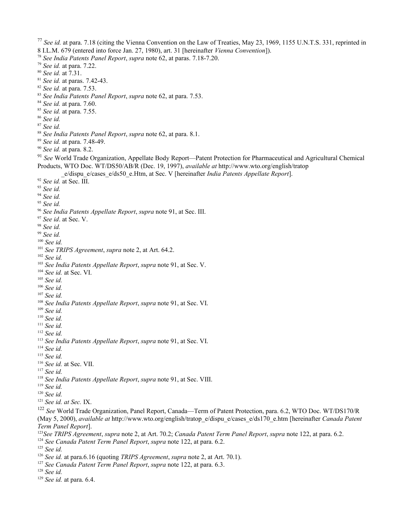<span id="page-43-23"></span><span id="page-43-22"></span><span id="page-43-21"></span><span id="page-43-20"></span><span id="page-43-19"></span><span id="page-43-18"></span><span id="page-43-17"></span><span id="page-43-16"></span><span id="page-43-15"></span><span id="page-43-14"></span><span id="page-43-13"></span><span id="page-43-12"></span><span id="page-43-11"></span><span id="page-43-10"></span><span id="page-43-9"></span><span id="page-43-8"></span><span id="page-43-7"></span><span id="page-43-6"></span><span id="page-43-5"></span><span id="page-43-4"></span><span id="page-43-3"></span><span id="page-43-2"></span><span id="page-43-1"></span><span id="page-43-0"></span> *See id.* at para. 7.18 (citing the Vienna Convention on the Law of Treaties, May 23, 1969, 1155 U.N.T.S. 331, reprinted in 8 I.L.M. 679 (entered into force Jan. 27, 1980), art. 31 [hereinafter *Vienna Convention*]). *See India Patents Panel Report*, *supra* note 62, at paras. 7.18-7.20. *See id.* at para. 7.22. *See id.* at 7.31. *See id.* at paras. 7.42-43. *See id.* at para. 7.53. *See India Patents Panel Report*, *supra* note 62, at para. 7.53. *See id.* at para. 7.60. *See id.* at para. 7.55. *See id. See id. See India Patents Panel Report*, *supra* note 62, at para. 8.1. *See id.* at para. 7.48-49. *See id.* at para. 8.2. *See* World Trade Organization, Appellate Body Report—Patent Protection for Pharmaceutical and Agricultural Chemical Products, WTO Doc. WT/DS50/AB/R (Dec. 19, 1997), *available at* http://www.wto.org/english/tratop \_e/dispu\_e/cases\_e/ds50\_e.Htm, at Sec. V [hereinafter *India Patents Appellate Report*]. *See id.* at Sec. III. *See id. See id. See id. See India Patents Appellate Report*, *supra* note 91, at Sec. III. *See id*. at Sec. V. *See id. See id. See id. See TRIPS Agreement*, *supra* note 2, at Art. 64.2. *See id. See India Patents Appellate Report*, *supra* note 91, at Sec. V. *See id.* at Sec. VI. *See id. See id. See id. See India Patents Appellate Report*, *supra* note 91, at Sec. VI. *See id. See id. See id. See id. See India Patents Appellate Report*, *supra* note 91, at Sec. VI. *See id. See id. See id.* at Sec. VII. *See id. See India Patents Appellate Report*, *supra* note 91, at Sec. VIII. *See id. See id. See id. at Sec.* IX. *See* World Trade Organization, Panel Report, Canada—Term of Patent Protection, para. 6.2, WTO Doc. WT/DS170/R (May 5, 2000), *available at* http://www.wto.org/english/tratop\_e/dispu\_e/cases\_e/ds170\_e.htm [hereinafter *Canada Patent Term Panel Report*]. *See TRIPS Agreement*, *supra* note 2, at Art. 70.2; *Canada Patent Term Panel Report*, *supra* note 122, at para. 6.2. *See Canada Patent Term Panel Report*, *supra* note 122, at para. 6.2.

<span id="page-43-48"></span><span id="page-43-47"></span><span id="page-43-46"></span><span id="page-43-45"></span><span id="page-43-44"></span><span id="page-43-43"></span><span id="page-43-42"></span><span id="page-43-41"></span><span id="page-43-40"></span><span id="page-43-39"></span><span id="page-43-38"></span><span id="page-43-37"></span><span id="page-43-36"></span><span id="page-43-35"></span><span id="page-43-34"></span><span id="page-43-33"></span><span id="page-43-32"></span><span id="page-43-31"></span><span id="page-43-30"></span><span id="page-43-29"></span><span id="page-43-28"></span><span id="page-43-27"></span><span id="page-43-26"></span><span id="page-43-25"></span><span id="page-43-24"></span>*See id.*

- <span id="page-43-49"></span>*See id.* at para.6.16 (quoting *TRIPS Agreement*, *supra* note 2, at Art. 70.1).
- <span id="page-43-50"></span>*See Canada Patent Term Panel Report*, *supra* note 122, at para. 6.3.

<span id="page-43-51"></span>*See id.*

<span id="page-43-52"></span>*See id.* at para. 6.4.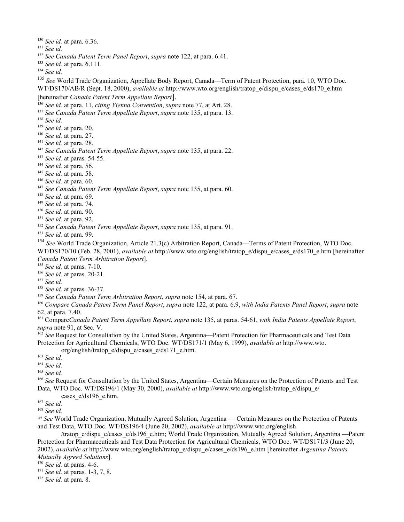<span id="page-44-0"></span>*See id.* at para. 6.36.

- <span id="page-44-1"></span>*See id.*
- <span id="page-44-2"></span> *See Canada Patent Term Panel Report*, *supra* note 122, at para. 6.41.
- <span id="page-44-3"></span>*See id.* at para. 6.111.

<span id="page-44-4"></span>*See id.*

<span id="page-44-5"></span><sup>135</sup> See World Trade Organization, Appellate Body Report, Canada—Term of Patent Protection, para. 10, WTO Doc. WT/DS170/AB/R (Sept. 18, 2000), *available at* http://www.wto.org/english/tratop\_e/dispu\_e/cases\_e/ds170\_e.htm [hereinafter *Canada Patent Term Appellate Report*].

<span id="page-44-6"></span>*See id.* at para. 11, *citing Vienna Convention*, *supra* note 77, at Art. 28.

<span id="page-44-7"></span>*See Canada Patent Term Appellate Report*, *supra* note 135, at para. 13.

- <span id="page-44-8"></span>*See id.*
- <span id="page-44-9"></span>*See id.* at para. 20.
- <span id="page-44-10"></span>*See id.* at para. 27.
- <span id="page-44-11"></span>*See id.* at para. 28.
- <span id="page-44-12"></span>*See Canada Patent Term Appellate Report*, *supra* note 135, at para. 22.
- <span id="page-44-13"></span>*See id.* at paras. 54-55.
- <span id="page-44-14"></span>*See id.* at para. 56.
- <span id="page-44-15"></span>*See id.* at para. 58.
- <span id="page-44-16"></span>*See id.* at para. 60.
- <span id="page-44-17"></span>*See Canada Patent Term Appellate Report*, *supra* note 135, at para. 60.
- <span id="page-44-18"></span>*See id.* at para. 69.
- <span id="page-44-19"></span>*See id.* at para. 74.
- <span id="page-44-20"></span>*See id.* at para. 90.
- <span id="page-44-21"></span>*See id.* at para. 92.
- <span id="page-44-22"></span>*See Canada Patent Term Appellate Report*, *supra* note 135, at para. 91.
- <span id="page-44-23"></span>*See id.* at para. 99.

<span id="page-44-24"></span> *See* World Trade Organization, Article 21.3(c) Arbitration Report, Canada—Terms of Patent Protection, WTO Doc. WT/DS170/10 (Feb. 28, 2001), *available at* http://www.wto.org/english/tratop\_e/dispu\_e/cases\_e/ds170\_e.htm [hereinafter *Canada Patent Term Arbitration Report*].

<span id="page-44-25"></span>*See id.* at paras. 7-10.

<span id="page-44-26"></span>*See id.* at paras. 20-21.

<span id="page-44-27"></span>*See id.*

- <span id="page-44-28"></span>*See id.* at paras. 36-37.
- <span id="page-44-29"></span>*See Canada Patent Term Arbitration Report*, *supra* note 154, at para. 67.

<span id="page-44-30"></span> *Compare Canada Patent Term Panel Report*, *supra* note 122, at para. 6.9, *with India Patents Panel Report*, *supra* note 62, at para. 7.40.

<span id="page-44-31"></span> Compare*Canada Patent Term Appellate Report*, *supra* note 135, at paras. 54-61, *with India Patents Appellate Report*, *supra* note 91, at Sec. V.

<span id="page-44-32"></span><sup>162</sup> See Request for Consultation by the United States, Argentina—Patent Protection for Pharmaceuticals and Test Data Protection for Agricultural Chemicals, WTO Doc. WT/DS171/1 (May 6, 1999), *available at* http://www.wto.

org/english/tratop\_e/dispu\_e/cases\_e/ds171\_e.htm.

<span id="page-44-33"></span>*See id.*

- <span id="page-44-34"></span>*See id.*
- <span id="page-44-35"></span>*See id.*

<span id="page-44-36"></span><sup>166</sup> See Request for Consultation by the United States, Argentina—Certain Measures on the Protection of Patents and Test Data, WTO Doc. WT/DS196/1 (May 30, 2000), *available at* http://www.wto.org/english/tratop\_e/dispu\_e/ cases e/ds196 e.htm.

- <span id="page-44-37"></span>*See id.*
- <span id="page-44-38"></span>*See id.*

<span id="page-44-39"></span> *See* World Trade Organization, Mutually Agreed Solution, Argentina — Certain Measures on the Protection of Patents and Test Data, WTO Doc. WT/DS196/4 (June 20, 2002), *available at* http://www.wto.org/english

/tratop\_e/dispu\_e/cases\_e/ds196\_e.htm; World Trade Organization, Mutually Agreed Solution, Argentina —Patent Protection for Pharmaceuticals and Test Data Protection for Agricultural Chemicals, WTO Doc. WT/DS171/3 (June 20, 2002), *available at* http://www.wto.org/english/tratop\_e/dispu\_e/cases\_e/ds196\_e.htm [hereinafter *Argentina Patents Mutually Agreed Solutions*].

- <span id="page-44-40"></span>*See id.* at paras. 4-6.
- <span id="page-44-41"></span>*See id.* at paras. 1-3, 7, 8.

<span id="page-44-42"></span>*See id.* at para. 8.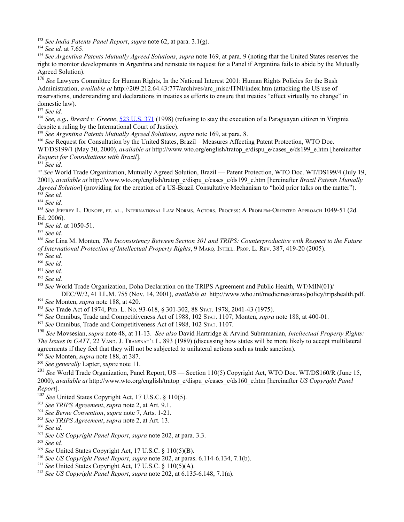<span id="page-45-0"></span><sup>173</sup> *See India Patents Panel Report*, *supra* note 62, at para. 3.1(g).

<span id="page-45-2"></span><sup>175</sup> *See Argentina Patents Mutually Agreed Solutions*, *supra* note 169, at para. 9 (noting that the United States reserves the right to monitor developments in Argentina and reinstate its request for a Panel if Argentina fails to abide by the Mutually Agreed Solution).

<span id="page-45-3"></span><sup>176</sup> See Lawyers Committee for Human Rights, In the National Interest 2001: Human Rights Policies for the Bush Administration, *available at* http://209.212.64.43:777/archives/arc\_misc/ITNI/index.htm (attacking the US use of reservations, understanding and declarations in treaties as efforts to ensure that treaties "effect virtually no change" in domestic law).

<span id="page-45-4"></span><sup>177</sup> *See id.*

<span id="page-45-5"></span><sup>178</sup> *See, e.g.***,** *Breard v. Greene*, [523 U.S. 371](http://caselaw.lp.findlaw.com/scripts/getcase.pl?navby=CASE&court=US&vol=523&page=371) (1998) (refusing to stay the execution of a Paraguayan citizen in Virginia despite a ruling by the International Court of Justice).

<span id="page-45-6"></span><sup>179</sup> *See Argentina Patents Mutually Agreed Solutions*, *supra* note 169, at para. 8.

<span id="page-45-7"></span><sup>180</sup> *See* Request for Consultation by the United States, Brazil—Measures Affecting Patent Protection, WTO Doc.

WT/DS199/1 (May 30, 2000), *available at* http://www.wto.org/english/tratop\_e/dispu\_e/cases\_e/ds199\_e.htm [hereinafter *Request for Consultations with Brazil*].

<span id="page-45-8"></span><sup>181</sup> *See id.*

<span id="page-45-9"></span><sup>182</sup> *See* World Trade Organization, Mutually Agreed Solution, Brazil — Patent Protection, WTO Doc. WT/DS199/4 (July 19, 2001), *available at* http://www.wto.org/english/tratop\_e/dispu\_e/cases\_e/ds199\_e.htm [hereinafter *Brazil Patents Mutually Agreed Solution*] (providing for the creation of a US-Brazil Consultative Mechanism to "hold prior talks on the matter"). <sup>183</sup> *See id.*

<span id="page-45-11"></span><span id="page-45-10"></span><sup>184</sup> *See id.*

<span id="page-45-12"></span><sup>185</sup> See Jeffrey L. Dunoff, et. al., International Law Norms, Actors, Process: A Problem-Oriented Approach 1049-51 (2d. Ed. 2006).

<span id="page-45-13"></span><sup>186</sup> *See id.* at 1050-51.

<span id="page-45-14"></span><sup>187</sup> *See id.*

<span id="page-45-15"></span><sup>188</sup> *See* Lina M. Monten, *The Inconsistency Between Section 301 and TRIPS: Counterproductive with Respect to the Future of International Protection of Intellectual Property Rights*, 9 MARQ. INTELL. PROP. L. REV. 387, 419-20 (2005).

<span id="page-45-16"></span><sup>189</sup> *See id.*

<span id="page-45-17"></span><sup>190</sup> *See id.*

<span id="page-45-18"></span><sup>191</sup> *See id.*

<span id="page-45-19"></span><sup>192</sup> *See id.*

<span id="page-45-20"></span><sup>193</sup> *See* World Trade Organization, Doha Declaration on the TRIPS Agreement and Public Health, WT/MIN(01)/ DEC/W/2, 41 I.L.M. 755 (Nov. 14, 2001), *available at* http://www.who.int/medicines/areas/policy/tripshealth.pdf.

<span id="page-45-21"></span><sup>194</sup> *See* Monten, *supra* note 188, at 420.

<span id="page-45-22"></span><sup>195</sup> *See* Trade Act of 1974, PUB. L. NO. 93-618, § 301-302, 88 STAT. 1978, 2041-43 (1975).

<span id="page-45-23"></span><sup>196</sup> *See* Omnibus, Trade and Competitiveness Act of 1988, 102 STAT. 1107; Monten, *supra* note 188, at 400-01.

<span id="page-45-24"></span><sup>197</sup> See Omnibus, Trade and Competitiveness Act of 1988, 102 STAT. 1107.

<span id="page-45-25"></span><sup>198</sup> *See* Movsesian, *supra* note 48, at 11-13. *See also* David Hartridge & Arvind Subramanian, *Intellectual Property Rights: The Issues in GATT,* 22 VAND. J. TRANSNAT'L L. 893 (1989) (discussing how states will be more likely to accept multilateral agreements if they feel that they will not be subjected to unilateral actions such as trade sanction).

<span id="page-45-27"></span><span id="page-45-26"></span><sup>199</sup> *See* Monten, *supra* note 188, at 387. <sup>200</sup> *See generally* Lapter, *supra* note 11.

<span id="page-45-28"></span><sup>201</sup> See World Trade Organization, Panel Report, US — Section 110(5) Copyright Act, WTO Doc. WT/DS160/R (June 15, 2000), *available at* http://www.wto.org/english/tratop\_e/dispu\_e/cases\_e/ds160\_e.htm [hereinafter *US Copyright Panel Report*].

<span id="page-45-29"></span><sup>202</sup> *See* United States Copyright Act, 17 U.S.C. § 110(5).

<span id="page-45-30"></span><sup>203</sup> *See TRIPS Agreement*, *supra* note 2, at Art. 9.1.

<span id="page-45-31"></span><sup>204</sup> *See Berne Convention*, s*upra* note 7, Arts. 1-21.

<span id="page-45-32"></span><sup>205</sup> *See TRIPS Agreement*, *supra* note 2, at Art. 13.

<span id="page-45-33"></span><sup>206</sup> *See id.*

<span id="page-45-34"></span><sup>207</sup> *See US Copyright Panel Report*, *supra* note 202, at para. 3.3.

<span id="page-45-35"></span><sup>208</sup> *See id.*

<span id="page-45-36"></span><sup>209</sup> *See* United States Copyright Act, 17 U.S.C. § 110(5)(B).

<span id="page-45-37"></span><sup>210</sup> *See US Copyright Panel Report*, *supra* note 202, at paras. 6.114-6.134, 7.1(b).

<span id="page-45-38"></span><sup>211</sup> *See* United States Copyright Act, 17 U.S.C. § 110(5)(A).

<span id="page-45-39"></span><sup>212</sup> *See US Copyright Panel Report*, *supra* note 202, at 6.135-6.148, 7.1(a).

<span id="page-45-1"></span><sup>174</sup> *See id.* at 7.65.